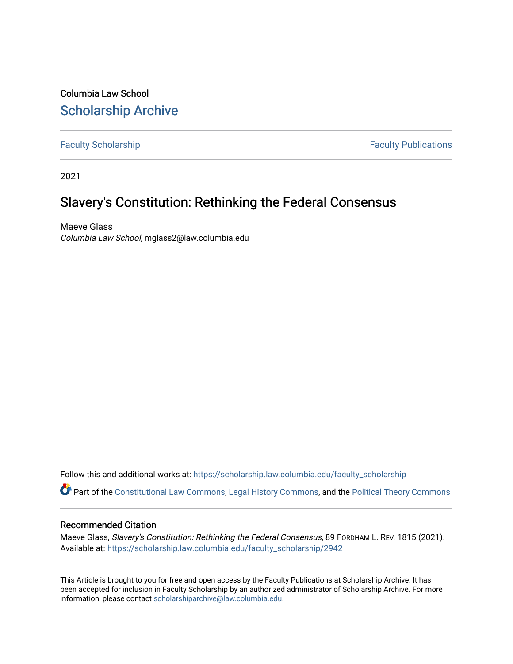Columbia Law School [Scholarship Archive](https://scholarship.law.columbia.edu/) 

[Faculty Scholarship](https://scholarship.law.columbia.edu/faculty_scholarship) **Faculty Scholarship Faculty Publications** 

2021

# Slavery's Constitution: Rethinking the Federal Consensus

Maeve Glass Columbia Law School, mglass2@law.columbia.edu

Follow this and additional works at: [https://scholarship.law.columbia.edu/faculty\\_scholarship](https://scholarship.law.columbia.edu/faculty_scholarship?utm_source=scholarship.law.columbia.edu%2Ffaculty_scholarship%2F2942&utm_medium=PDF&utm_campaign=PDFCoverPages)

Part of the [Constitutional Law Commons,](http://network.bepress.com/hgg/discipline/589?utm_source=scholarship.law.columbia.edu%2Ffaculty_scholarship%2F2942&utm_medium=PDF&utm_campaign=PDFCoverPages) [Legal History Commons](http://network.bepress.com/hgg/discipline/904?utm_source=scholarship.law.columbia.edu%2Ffaculty_scholarship%2F2942&utm_medium=PDF&utm_campaign=PDFCoverPages), and the [Political Theory Commons](http://network.bepress.com/hgg/discipline/391?utm_source=scholarship.law.columbia.edu%2Ffaculty_scholarship%2F2942&utm_medium=PDF&utm_campaign=PDFCoverPages) 

### Recommended Citation

Maeve Glass, Slavery's Constitution: Rethinking the Federal Consensus, 89 FORDHAM L. REV. 1815 (2021). Available at: [https://scholarship.law.columbia.edu/faculty\\_scholarship/2942](https://scholarship.law.columbia.edu/faculty_scholarship/2942?utm_source=scholarship.law.columbia.edu%2Ffaculty_scholarship%2F2942&utm_medium=PDF&utm_campaign=PDFCoverPages)

This Article is brought to you for free and open access by the Faculty Publications at Scholarship Archive. It has been accepted for inclusion in Faculty Scholarship by an authorized administrator of Scholarship Archive. For more information, please contact [scholarshiparchive@law.columbia.edu.](mailto:scholarshiparchive@law.columbia.edu)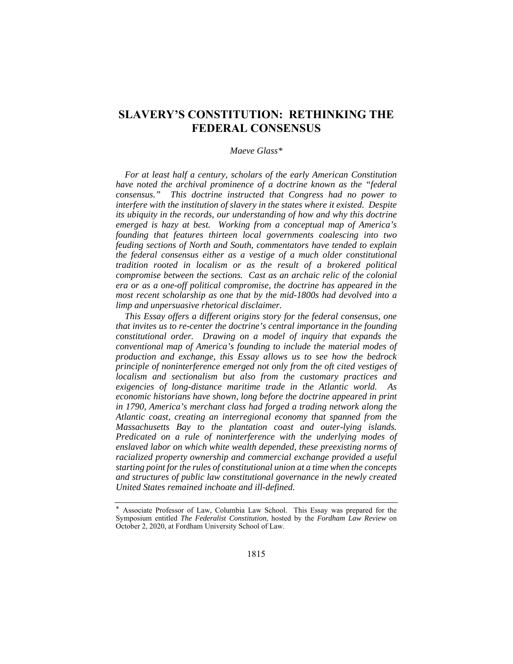## **SLAVERY'S CONSTITUTION: RETHINKING THE FEDERAL CONSENSUS**

#### *Maeve Glass\**

*For at least half a century, scholars of the early American Constitution have noted the archival prominence of a doctrine known as the "federal consensus." This doctrine instructed that Congress had no power to interfere with the institution of slavery in the states where it existed. Despite its ubiquity in the records, our understanding of how and why this doctrine emerged is hazy at best. Working from a conceptual map of America's founding that features thirteen local governments coalescing into two feuding sections of North and South, commentators have tended to explain the federal consensus either as a vestige of a much older constitutional tradition rooted in localism or as the result of a brokered political compromise between the sections. Cast as an archaic relic of the colonial era or as a one-off political compromise, the doctrine has appeared in the most recent scholarship as one that by the mid-1800s had devolved into a limp and unpersuasive rhetorical disclaimer.* 

*This Essay offers a different origins story for the federal consensus, one that invites us to re-center the doctrine's central importance in the founding constitutional order. Drawing on a model of inquiry that expands the conventional map of America's founding to include the material modes of production and exchange, this Essay allows us to see how the bedrock principle of noninterference emerged not only from the oft cited vestiges of localism and sectionalism but also from the customary practices and exigencies of long-distance maritime trade in the Atlantic world. As economic historians have shown, long before the doctrine appeared in print in 1790, America's merchant class had forged a trading network along the Atlantic coast, creating an interregional economy that spanned from the Massachusetts Bay to the plantation coast and outer-lying islands. Predicated on a rule of noninterference with the underlying modes of enslaved labor on which white wealth depended, these preexisting norms of racialized property ownership and commercial exchange provided a useful starting point for the rules of constitutional union at a time when the concepts and structures of public law constitutional governance in the newly created United States remained inchoate and ill-defined.* 

Associate Professor of Law, Columbia Law School. This Essay was prepared for the Symposium entitled *The Federalist Constitution*, hosted by the *Fordham Law Review* on October 2, 2020, at Fordham University School of Law.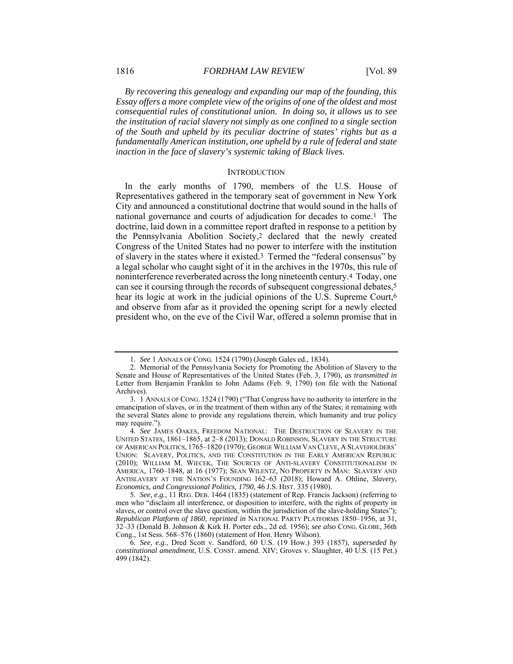*By recovering this genealogy and expanding our map of the founding, this Essay offers a more complete view of the origins of one of the oldest and most consequential rules of constitutional union. In doing so, it allows us to see the institution of racial slavery not simply as one confined to a single section of the South and upheld by its peculiar doctrine of states' rights but as a fundamentally American institution, one upheld by a rule of federal and state inaction in the face of slavery's systemic taking of Black lives.* 

#### **INTRODUCTION**

In the early months of 1790, members of the U.S. House of Representatives gathered in the temporary seat of government in New York City and announced a constitutional doctrine that would sound in the halls of national governance and courts of adjudication for decades to come.1 The doctrine, laid down in a committee report drafted in response to a petition by the Pennsylvania Abolition Society,2 declared that the newly created Congress of the United States had no power to interfere with the institution of slavery in the states where it existed.3 Termed the "federal consensus" by a legal scholar who caught sight of it in the archives in the 1970s, this rule of noninterference reverberated across the long nineteenth century.4 Today, one can see it coursing through the records of subsequent congressional debates,5 hear its logic at work in the judicial opinions of the U.S. Supreme Court,<sup>6</sup> and observe from afar as it provided the opening script for a newly elected president who, on the eve of the Civil War, offered a solemn promise that in

<sup>1</sup>*. See* 1 ANNALS OF CONG. 1524 (1790) (Joseph Gales ed., 1834).

 <sup>2.</sup> Memorial of the Pennsylvania Society for Promoting the Abolition of Slavery to the Senate and House of Representatives of the United States (Feb. 3, 1790), *as transmitted in*  Letter from Benjamin Franklin to John Adams (Feb. 9, 1790) (on file with the National Archives).

<sup>3</sup>*.* 1 ANNALS OF CONG. 1524 (1790) ("That Congress have no authority to interfere in the emancipation of slaves, or in the treatment of them within any of the States; it remaining with the several States alone to provide any regulations therein, which humanity and true policy may require.").

<sup>4</sup>*. See* JAMES OAKES, FREEDOM NATIONAL: THE DESTRUCTION OF SLAVERY IN THE UNITED STATES, 1861–1865, at 2–8 (2013); DONALD ROBINSON, SLAVERY IN THE STRUCTURE OF AMERICAN POLITICS, 1765–1820 (1970); GEORGE WILLIAM VAN CLEVE, A SLAVEHOLDERS' UNION: SLAVERY, POLITICS, AND THE CONSTITUTION IN THE EARLY AMERICAN REPUBLIC (2010); WILLIAM M. WIECEK, THE SOURCES OF ANTI-SLAVERY CONSTITUTIONALISM IN AMERICA, 1760–1848, at 16 (1977); SEAN WILENTZ, NO PROPERTY IN MAN: SLAVERY AND ANTISLAVERY AT THE NATION'S FOUNDING 162–63 (2018); Howard A. Ohline, *Slavery, Economics, and Congressional Politics, 1790*, 46 J.S. HIST. 335 (1980).

<sup>5</sup>*. See, e.g.*, 11 REG. DEB. 1464 (1835) (statement of Rep. Francis Jackson) (referring to men who "disclaim all interference, or disposition to interfere, with the rights of property in slaves, or control over the slave question, within the jurisdiction of the slave-holding States"); *Republican Platform of 1860*, *reprinted in* NATIONAL PARTY PLATFORMS 1850–1956, at 31, 32–33 (Donald B. Johnson & Kirk H. Porter eds., 2d ed. 1956); *see also* CONG. GLOBE, 36th Cong., 1st Sess. 568–576 (1860) (statement of Hon. Henry Wilson).

<sup>6</sup>*. See, e.g.*, Dred Scott v. Sandford, 60 U.S. (19 How.) 393 (1857), *superseded by constitutional amendment*, U.S. CONST. amend. XIV; Groves v. Slaughter, 40 U.S. (15 Pet.) 499 (1842).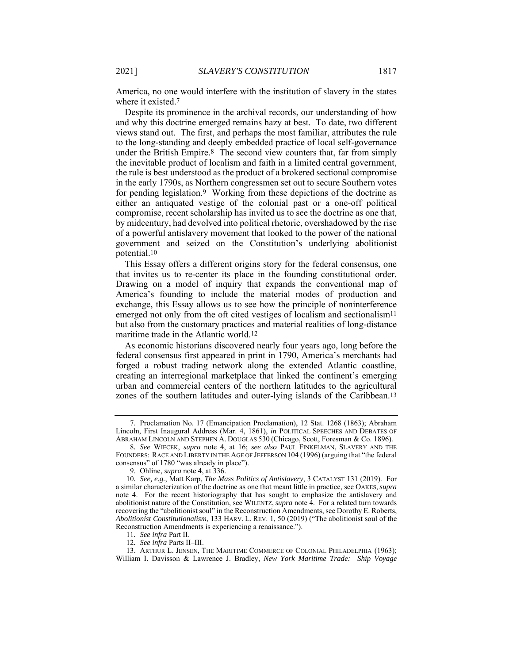America, no one would interfere with the institution of slavery in the states where it existed.<sup>7</sup>

Despite its prominence in the archival records, our understanding of how and why this doctrine emerged remains hazy at best. To date, two different views stand out. The first, and perhaps the most familiar, attributes the rule to the long-standing and deeply embedded practice of local self-governance under the British Empire.8 The second view counters that, far from simply the inevitable product of localism and faith in a limited central government, the rule is best understood as the product of a brokered sectional compromise in the early 1790s, as Northern congressmen set out to secure Southern votes for pending legislation.9 Working from these depictions of the doctrine as either an antiquated vestige of the colonial past or a one-off political compromise, recent scholarship has invited us to see the doctrine as one that, by midcentury, had devolved into political rhetoric, overshadowed by the rise of a powerful antislavery movement that looked to the power of the national government and seized on the Constitution's underlying abolitionist potential.10

This Essay offers a different origins story for the federal consensus, one that invites us to re-center its place in the founding constitutional order. Drawing on a model of inquiry that expands the conventional map of America's founding to include the material modes of production and exchange, this Essay allows us to see how the principle of noninterference emerged not only from the oft cited vestiges of localism and sectionalism<sup>11</sup> but also from the customary practices and material realities of long-distance maritime trade in the Atlantic world.12

As economic historians discovered nearly four years ago, long before the federal consensus first appeared in print in 1790, America's merchants had forged a robust trading network along the extended Atlantic coastline, creating an interregional marketplace that linked the continent's emerging urban and commercial centers of the northern latitudes to the agricultural zones of the southern latitudes and outer-lying islands of the Caribbean.13

 <sup>7.</sup> Proclamation No. 17 (Emancipation Proclamation), 12 Stat. 1268 (1863); Abraham Lincoln, First Inaugural Address (Mar. 4, 1861), *in* POLITICAL SPEECHES AND DEBATES OF ABRAHAM LINCOLN AND STEPHEN A. DOUGLAS 530 (Chicago, Scott, Foresman & Co. 1896).

<sup>8</sup>*. See* WIECEK, *supra* note 4, at 16; *see also* PAUL FINKELMAN, SLAVERY AND THE FOUNDERS: RACE AND LIBERTY IN THE AGE OF JEFFERSON 104 (1996) (arguing that "the federal consensus" of 1780 "was already in place").

 <sup>9.</sup> Ohline, *supra* note 4, at 336.

<sup>10</sup>*. See, e.g.*, Matt Karp, *The Mass Politics of Antislavery*, 3 CATALYST 131 (2019). For a similar characterization of the doctrine as one that meant little in practice, see OAKES,*supra*  note 4. For the recent historiography that has sought to emphasize the antislavery and abolitionist nature of the Constitution, see WILENTZ, *supra* note 4. For a related turn towards recovering the "abolitionist soul" in the Reconstruction Amendments, see Dorothy E. Roberts, *Abolitionist Constitutionalism*, 133 HARV. L. REV. 1, 50 (2019) ("The abolitionist soul of the Reconstruction Amendments is experiencing a renaissance.").

<sup>11</sup>*. See infra* Part II.

<sup>12</sup>*. See infra* Parts II–III.

 <sup>13.</sup> ARTHUR L. JENSEN, THE MARITIME COMMERCE OF COLONIAL PHILADELPHIA (1963); William I. Davisson & Lawrence J. Bradley, *New York Maritime Trade: Ship Voyage*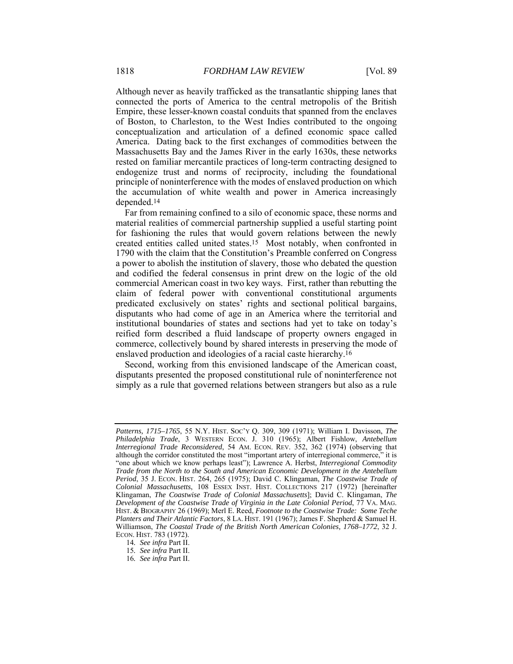Although never as heavily trafficked as the transatlantic shipping lanes that connected the ports of America to the central metropolis of the British Empire, these lesser-known coastal conduits that spanned from the enclaves of Boston, to Charleston, to the West Indies contributed to the ongoing conceptualization and articulation of a defined economic space called America. Dating back to the first exchanges of commodities between the Massachusetts Bay and the James River in the early 1630s, these networks rested on familiar mercantile practices of long-term contracting designed to endogenize trust and norms of reciprocity, including the foundational principle of noninterference with the modes of enslaved production on which the accumulation of white wealth and power in America increasingly depended.14

Far from remaining confined to a silo of economic space, these norms and material realities of commercial partnership supplied a useful starting point for fashioning the rules that would govern relations between the newly created entities called united states.15 Most notably, when confronted in 1790 with the claim that the Constitution's Preamble conferred on Congress a power to abolish the institution of slavery, those who debated the question and codified the federal consensus in print drew on the logic of the old commercial American coast in two key ways. First, rather than rebutting the claim of federal power with conventional constitutional arguments predicated exclusively on states' rights and sectional political bargains, disputants who had come of age in an America where the territorial and institutional boundaries of states and sections had yet to take on today's reified form described a fluid landscape of property owners engaged in commerce, collectively bound by shared interests in preserving the mode of enslaved production and ideologies of a racial caste hierarchy.16

Second, working from this envisioned landscape of the American coast, disputants presented the proposed constitutional rule of noninterference not simply as a rule that governed relations between strangers but also as a rule

*Patterns, 1715–1765*, 55 N.Y. HIST. SOC'Y Q. 309, 309 (1971); William I. Davisson, *The Philadelphia Trade*, 3 WESTERN ECON. J. 310 (1965); Albert Fishlow, *Antebellum Interregional Trade Reconsidered*, 54 AM. ECON. REV. 352, 362 (1974) (observing that although the corridor constituted the most "important artery of interregional commerce," it is "one about which we know perhaps least"); Lawrence A. Herbst, *Interregional Commodity Trade from the North to the South and American Economic Development in the Antebellum Period*, 35 J. ECON. HIST. 264, 265 (1975); David C. Klingaman, *The Coastwise Trade of Colonial Massachusetts*, 108 ESSEX INST. HIST. COLLECTIONS 217 (1972) [hereinafter Klingaman, *The Coastwise Trade of Colonial Massachusetts*]; David C. Klingaman, *The Development of the Coastwise Trade of Virginia in the Late Colonial Period*, 77 VA. MAG. HIST. & BIOGRAPHY 26 (1969); Merl E. Reed, *Footnote to the Coastwise Trade: Some Teche Planters and Their Atlantic Factors*, 8 LA. HIST. 191 (1967); James F. Shepherd & Samuel H. Williamson, *The Coastal Trade of the British North American Colonies, 1768–1772*, 32 J. ECON. HIST. 783 (1972).

<sup>14</sup>*. See infra* Part II.

<sup>15</sup>*. See infra* Part II.

<sup>16</sup>*. See infra* Part II.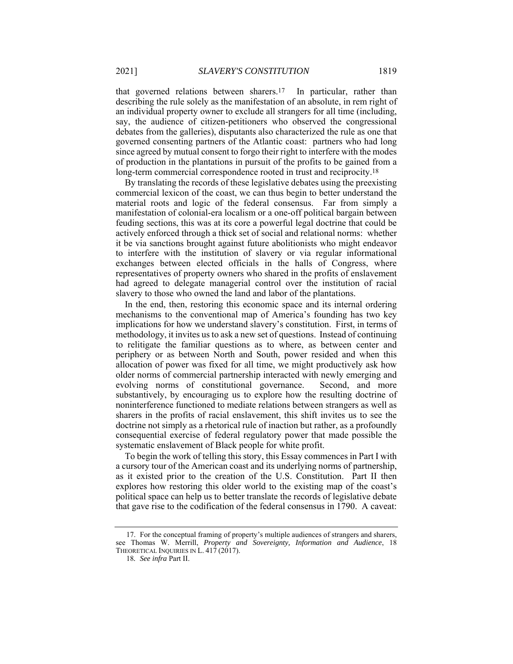that governed relations between sharers.17 In particular, rather than describing the rule solely as the manifestation of an absolute, in rem right of an individual property owner to exclude all strangers for all time (including, say, the audience of citizen-petitioners who observed the congressional debates from the galleries), disputants also characterized the rule as one that governed consenting partners of the Atlantic coast: partners who had long since agreed by mutual consent to forgo their right to interfere with the modes of production in the plantations in pursuit of the profits to be gained from a long-term commercial correspondence rooted in trust and reciprocity.<sup>18</sup>

By translating the records of these legislative debates using the preexisting commercial lexicon of the coast, we can thus begin to better understand the material roots and logic of the federal consensus. Far from simply a manifestation of colonial-era localism or a one-off political bargain between feuding sections, this was at its core a powerful legal doctrine that could be actively enforced through a thick set of social and relational norms: whether it be via sanctions brought against future abolitionists who might endeavor to interfere with the institution of slavery or via regular informational exchanges between elected officials in the halls of Congress, where representatives of property owners who shared in the profits of enslavement had agreed to delegate managerial control over the institution of racial slavery to those who owned the land and labor of the plantations.

In the end, then, restoring this economic space and its internal ordering mechanisms to the conventional map of America's founding has two key implications for how we understand slavery's constitution. First, in terms of methodology, it invites us to ask a new set of questions. Instead of continuing to relitigate the familiar questions as to where, as between center and periphery or as between North and South, power resided and when this allocation of power was fixed for all time, we might productively ask how older norms of commercial partnership interacted with newly emerging and evolving norms of constitutional governance. Second, and more substantively, by encouraging us to explore how the resulting doctrine of noninterference functioned to mediate relations between strangers as well as sharers in the profits of racial enslavement, this shift invites us to see the doctrine not simply as a rhetorical rule of inaction but rather, as a profoundly consequential exercise of federal regulatory power that made possible the systematic enslavement of Black people for white profit.

To begin the work of telling this story, this Essay commences in Part I with a cursory tour of the American coast and its underlying norms of partnership, as it existed prior to the creation of the U.S. Constitution. Part II then explores how restoring this older world to the existing map of the coast's political space can help us to better translate the records of legislative debate that gave rise to the codification of the federal consensus in 1790. A caveat:

 <sup>17.</sup> For the conceptual framing of property's multiple audiences of strangers and sharers, see Thomas W. Merrill, *Property and Sovereignty, Information and Audience*, 18 THEORETICAL INQUIRIES IN L. 417 (2017).

<sup>18</sup>*. See infra* Part II.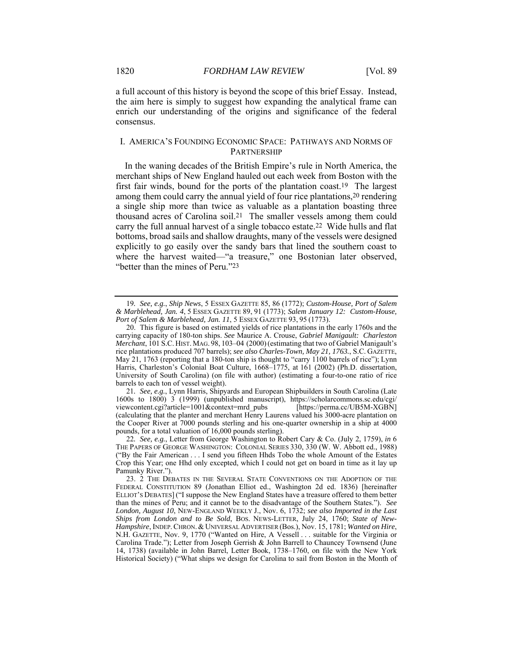a full account of this history is beyond the scope of this brief Essay. Instead, the aim here is simply to suggest how expanding the analytical frame can enrich our understanding of the origins and significance of the federal consensus.

#### I. AMERICA'S FOUNDING ECONOMIC SPACE: PATHWAYS AND NORMS OF PARTNERSHIP

In the waning decades of the British Empire's rule in North America, the merchant ships of New England hauled out each week from Boston with the first fair winds, bound for the ports of the plantation coast.<sup>19</sup> The largest among them could carry the annual yield of four rice plantations,<sup>20</sup> rendering a single ship more than twice as valuable as a plantation boasting three thousand acres of Carolina soil.21 The smaller vessels among them could carry the full annual harvest of a single tobacco estate.22 Wide hulls and flat bottoms, broad sails and shallow draughts, many of the vessels were designed explicitly to go easily over the sandy bars that lined the southern coast to where the harvest waited—"a treasure," one Bostonian later observed, "better than the mines of Peru."23

21*. See, e.g.*, Lynn Harris, Shipyards and European Shipbuilders in South Carolina (Late 1600s to 1800) 3 (1999) (unpublished manuscript), https://scholarcommons.sc.edu/cgi/ viewcontent.cgi?article=1001&context=mrd\_pubs [https://perma.cc/UB5M-XGBN] (calculating that the planter and merchant Henry Laurens valued his 3000-acre plantation on the Cooper River at 7000 pounds sterling and his one-quarter ownership in a ship at 4000 pounds, for a total valuation of 16,000 pounds sterling).

<sup>19</sup>*. See, e.g.*, *Ship News*, 5 ESSEX GAZETTE 85, 86 (1772); *Custom-House, Port of Salem & Marblehead, Jan. 4*, 5 ESSEX GAZETTE 89, 91 (1773); *Salem January 12: Custom-House,*  Port of Salem & Marblehead, Jan. 11, 5 ESSEX GAZETTE 93, 95 (1773).

 <sup>20.</sup> This figure is based on estimated yields of rice plantations in the early 1760s and the carrying capacity of 180-ton ships. *See* Maurice A. Crouse, *Gabriel Manigault: Charleston Merchant*, 101 S.C. HIST. MAG. 98, 103-04 (2000) (estimating that two of Gabriel Manigault's rice plantations produced 707 barrels); *see also Charles-Town, May 21, 1763.*, S.C. GAZETTE, May 21, 1763 (reporting that a 180-ton ship is thought to "carry 1100 barrels of rice"); Lynn Harris, Charleston's Colonial Boat Culture, 1668–1775, at 161 (2002) (Ph.D. dissertation, University of South Carolina) (on file with author) (estimating a four-to-one ratio of rice barrels to each ton of vessel weight).

<sup>22</sup>*. See, e.g.*, Letter from George Washington to Robert Cary & Co. (July 2, 1759), *in* 6 THE PAPERS OF GEORGE WASHINGTON: COLONIAL SERIES 330, 330 (W. W. Abbott ed., 1988) ("By the Fair American . . . I send you fifteen Hhds Tobo the whole Amount of the Estates Crop this Year; one Hhd only excepted, which I could not get on board in time as it lay up Pamunky River.").

 <sup>23. 2</sup> THE DEBATES IN THE SEVERAL STATE CONVENTIONS ON THE ADOPTION OF THE FEDERAL CONSTITUTION 89 (Jonathan Elliot ed., Washington 2d ed. 1836) [hereinafter ELLIOT'S DEBATES] ("I suppose the New England States have a treasure offered to them better than the mines of Peru; and it cannot be to the disadvantage of the Southern States."). *See London, August 10*, NEW-ENGLAND WEEKLY J., Nov. 6, 1732; *see also Imported in the Last Ships from London and to Be Sold*, BOS. NEWS-LETTER, July 24, 1760; *State of New-Hampshire*, INDEP.CHRON. &UNIVERSAL ADVERTISER (Bos.), Nov. 15, 1781; *Wanted on Hire*, N.H. GAZETTE, Nov. 9, 1770 ("Wanted on Hire, A Vessell . . . suitable for the Virginia or Carolina Trade."); Letter from Joseph Gerrish & John Barrell to Chauncey Townsend (June 14, 1738) (available in John Barrel, Letter Book, 1738–1760, on file with the New York Historical Society) ("What ships we design for Carolina to sail from Boston in the Month of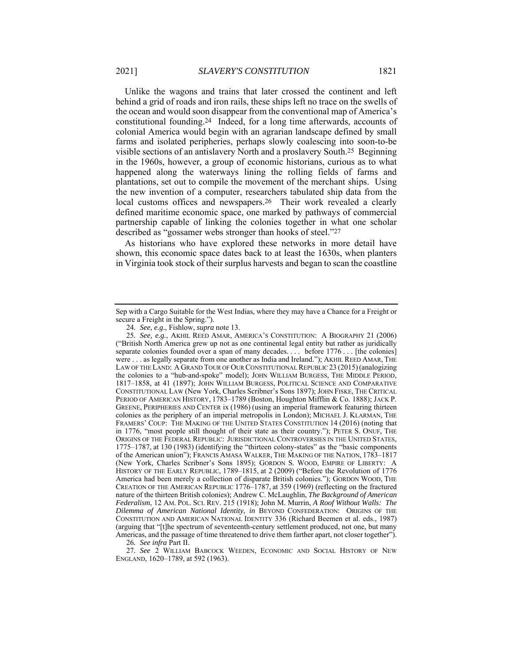Unlike the wagons and trains that later crossed the continent and left behind a grid of roads and iron rails, these ships left no trace on the swells of the ocean and would soon disappear from the conventional map of America's constitutional founding.24 Indeed, for a long time afterwards, accounts of colonial America would begin with an agrarian landscape defined by small farms and isolated peripheries, perhaps slowly coalescing into soon-to-be visible sections of an antislavery North and a proslavery South.25 Beginning in the 1960s, however, a group of economic historians, curious as to what happened along the waterways lining the rolling fields of farms and plantations, set out to compile the movement of the merchant ships. Using the new invention of a computer, researchers tabulated ship data from the local customs offices and newspapers.26 Their work revealed a clearly defined maritime economic space, one marked by pathways of commercial partnership capable of linking the colonies together in what one scholar described as "gossamer webs stronger than hooks of steel."27

As historians who have explored these networks in more detail have shown, this economic space dates back to at least the 1630s, when planters in Virginia took stock of their surplus harvests and began to scan the coastline

26*. See infra* Part II.

27*. See* 2 WILLIAM BABCOCK WEEDEN, ECONOMIC AND SOCIAL HISTORY OF NEW ENGLAND, 1620–1789, at 592 (1963).

Sep with a Cargo Suitable for the West Indias, where they may have a Chance for a Freight or secure a Freight in the Spring.").

<sup>24</sup>*. See, e.g.*, Fishlow, *supra* note 13.

<sup>25</sup>*. See, e.g.*, AKHIL REED AMAR, AMERICA'S CONSTITUTION: A BIOGRAPHY 21 (2006) ("British North America grew up not as one continental legal entity but rather as juridically separate colonies founded over a span of many decades. . . . before 1776 . . . [the colonies] were . . . as legally separate from one another as India and Ireland."); AKHIL REED AMAR, THE LAW OF THE LAND: A GRAND TOUR OF OUR CONSTITUTIONAL REPUBLIC 23 (2015)(analogizing the colonies to a "hub-and-spoke" model); JOHN WILLIAM BURGESS, THE MIDDLE PERIOD, 1817–1858, at 41 (1897); JOHN WILLIAM BURGESS, POLITICAL SCIENCE AND COMPARATIVE CONSTITUTIONAL LAW (New York, Charles Scribner's Sons 1897); JOHN FISKE, THE CRITICAL PERIOD OF AMERICAN HISTORY, 1783–1789 (Boston, Houghton Mifflin & Co. 1888); JACK P. GREENE, PERIPHERIES AND CENTER ix (1986) (using an imperial framework featuring thirteen colonies as the periphery of an imperial metropolis in London); MICHAEL J. KLARMAN, THE FRAMERS' COUP: THE MAKING OF THE UNITED STATES CONSTITUTION 14 (2016) (noting that in 1776, "most people still thought of their state as their country."); PETER S. ONUF, THE ORIGINS OF THE FEDERAL REPUBLIC: JURISDICTIONAL CONTROVERSIES IN THE UNITED STATES, 1775–1787, at 130 (1983) (identifying the "thirteen colony-states" as the "basic components of the American union"); FRANCIS AMASA WALKER, THE MAKING OF THE NATION, 1783–1817 (New York, Charles Scribner's Sons 1895); GORDON S. WOOD, EMPIRE OF LIBERTY: A HISTORY OF THE EARLY REPUBLIC, 1789–1815, at 2 (2009) ("Before the Revolution of 1776 America had been merely a collection of disparate British colonies."); GORDON WOOD, THE CREATION OF THE AMERICAN REPUBLIC 1776–1787, at 359 (1969) (reflecting on the fractured nature of the thirteen British colonies); Andrew C. McLaughlin, *The Background of American Federalism*, 12 AM. POL. SCI. REV. 215 (1918); John M. Murrin, *A Roof Without Walls: The Dilemma of American National Identity*, *in* BEYOND CONFEDERATION: ORIGINS OF THE CONSTITUTION AND AMERICAN NATIONAL IDENTITY 336 (Richard Beemen et al. eds., 1987) (arguing that "[t]he spectrum of seventeenth-century settlement produced, not one, but many Americas, and the passage of time threatened to drive them farther apart, not closer together").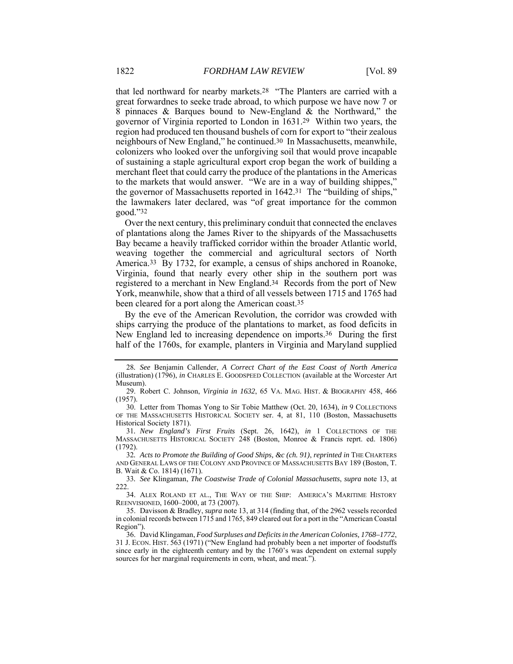that led northward for nearby markets.28 "The Planters are carried with a great forwardnes to seeke trade abroad, to which purpose we have now 7 or 8 pinnaces & Barques bound to New-England & the Northward," the governor of Virginia reported to London in 1631.29 Within two years, the region had produced ten thousand bushels of corn for export to "their zealous neighbours of New England," he continued.30 In Massachusetts, meanwhile, colonizers who looked over the unforgiving soil that would prove incapable of sustaining a staple agricultural export crop began the work of building a merchant fleet that could carry the produce of the plantations in the Americas to the markets that would answer. "We are in a way of building shippes," the governor of Massachusetts reported in 1642.31 The "building of ships," the lawmakers later declared, was "of great importance for the common good."32

Over the next century, this preliminary conduit that connected the enclaves of plantations along the James River to the shipyards of the Massachusetts Bay became a heavily trafficked corridor within the broader Atlantic world, weaving together the commercial and agricultural sectors of North America.33 By 1732, for example, a census of ships anchored in Roanoke, Virginia, found that nearly every other ship in the southern port was registered to a merchant in New England.34 Records from the port of New York, meanwhile, show that a third of all vessels between 1715 and 1765 had been cleared for a port along the American coast.35

By the eve of the American Revolution, the corridor was crowded with ships carrying the produce of the plantations to market, as food deficits in New England led to increasing dependence on imports.36 During the first half of the 1760s, for example, planters in Virginia and Maryland supplied

 30. Letter from Thomas Yong to Sir Tobie Matthew (Oct. 20, 1634), *in* 9 COLLECTIONS OF THE MASSACHUSETTS HISTORICAL SOCIETY ser. 4, at 81, 110 (Boston, Massachusetts Historical Society 1871).

31*. New England's First Fruits* (Sept. 26, 1642), *in* 1 COLLECTIONS OF THE MASSACHUSETTS HISTORICAL SOCIETY 248 (Boston, Monroe & Francis reprt. ed. 1806) (1792).

32*. Acts to Promote the Building of Good Ships, &c (ch. 91)*, *reprinted in* THE CHARTERS AND GENERAL LAWS OF THE COLONY AND PROVINCE OF MASSACHUSETTS BAY 189 (Boston, T. B. Wait & Co. 1814) (1671).

33*. See* Klingaman, *The Coastwise Trade of Colonial Massachusetts*, *supra* note 13, at 222.

 34. ALEX ROLAND ET AL., THE WAY OF THE SHIP: AMERICA'S MARITIME HISTORY REENVISIONED, 1600–2000, at 73 (2007).

 35. Davisson & Bradley, *supra* note 13, at 314 (finding that, of the 2962 vessels recorded in colonial records between 1715 and 1765, 849 cleared out for a port in the "American Coastal Region").

 36. David Klingaman, *Food Surpluses and Deficits in the American Colonies, 1768–1772*, 31 J. ECON. HIST. 563 (1971) ("New England had probably been a net importer of foodstuffs since early in the eighteenth century and by the 1760's was dependent on external supply sources for her marginal requirements in corn, wheat, and meat.").

<sup>28</sup>*. See* Benjamin Callender, *A Correct Chart of the East Coast of North America* (illustration) (1796), *in* CHARLES E. GOODSPEED COLLECTION (available at the Worcester Art Museum).

 <sup>29.</sup> Robert C. Johnson, *Virginia in 1632*, 65 VA. MAG. HIST. & BIOGRAPHY 458, 466 (1957).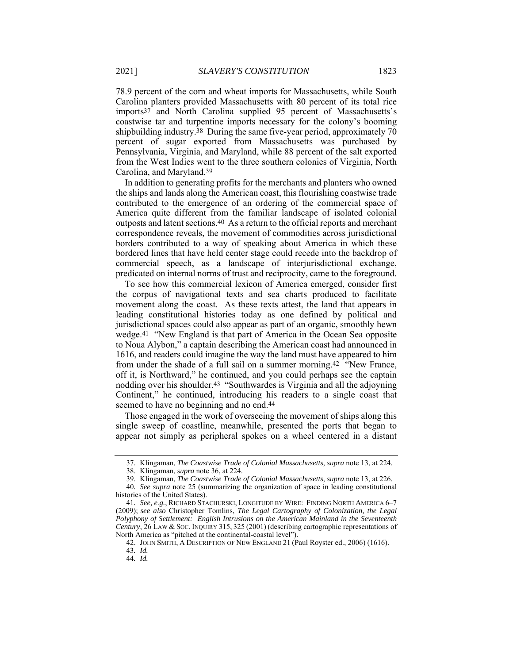78.9 percent of the corn and wheat imports for Massachusetts, while South Carolina planters provided Massachusetts with 80 percent of its total rice imports37 and North Carolina supplied 95 percent of Massachusetts's coastwise tar and turpentine imports necessary for the colony's booming shipbuilding industry.38 During the same five-year period, approximately 70 percent of sugar exported from Massachusetts was purchased by Pennsylvania, Virginia, and Maryland, while 88 percent of the salt exported from the West Indies went to the three southern colonies of Virginia, North Carolina, and Maryland.39

In addition to generating profits for the merchants and planters who owned the ships and lands along the American coast, this flourishing coastwise trade contributed to the emergence of an ordering of the commercial space of America quite different from the familiar landscape of isolated colonial outposts and latent sections.40 As a return to the official reports and merchant correspondence reveals, the movement of commodities across jurisdictional borders contributed to a way of speaking about America in which these bordered lines that have held center stage could recede into the backdrop of commercial speech, as a landscape of interjurisdictional exchange, predicated on internal norms of trust and reciprocity, came to the foreground.

To see how this commercial lexicon of America emerged, consider first the corpus of navigational texts and sea charts produced to facilitate movement along the coast. As these texts attest, the land that appears in leading constitutional histories today as one defined by political and jurisdictional spaces could also appear as part of an organic, smoothly hewn wedge.41 "New England is that part of America in the Ocean Sea opposite to Noua Alybon," a captain describing the American coast had announced in 1616, and readers could imagine the way the land must have appeared to him from under the shade of a full sail on a summer morning.42 "New France, off it, is Northward," he continued, and you could perhaps see the captain nodding over his shoulder.43 "Southwardes is Virginia and all the adjoyning Continent," he continued, introducing his readers to a single coast that seemed to have no beginning and no end.44

Those engaged in the work of overseeing the movement of ships along this single sweep of coastline, meanwhile, presented the ports that began to appear not simply as peripheral spokes on a wheel centered in a distant

 <sup>37.</sup> Klingaman, *The Coastwise Trade of Colonial Massachusetts*, *supra* note 13, at 224.

 <sup>38.</sup> Klingaman, *supra* note 36, at 224.

 <sup>39.</sup> Klingaman, *The Coastwise Trade of Colonial Massachusetts*, *supra* note 13, at 226.

<sup>40</sup>*. See supra* note 25 (summarizing the organization of space in leading constitutional histories of the United States).

<sup>41</sup>*. See, e.g.*, RICHARD STACHURSKI, LONGITUDE BY WIRE: FINDING NORTH AMERICA 6–7 (2009); *see also* Christopher Tomlins, *The Legal Cartography of Colonization, the Legal Polyphony of Settlement: English Intrusions on the American Mainland in the Seventeenth Century*, 26 LAW & SOC. INQUIRY 315, 325 (2001) (describing cartographic representations of North America as "pitched at the continental-coastal level").

 <sup>42.</sup> JOHN SMITH, A DESCRIPTION OF NEW ENGLAND 21 (Paul Royster ed., 2006) (1616).

<sup>43</sup>*. Id.*

<sup>44</sup>*. Id.*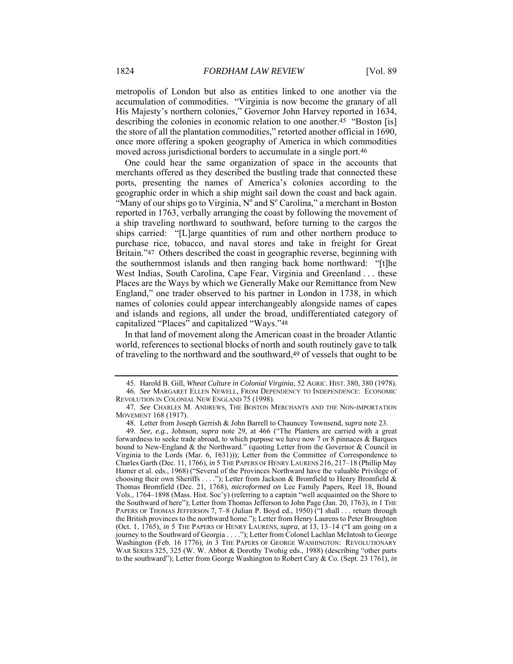metropolis of London but also as entities linked to one another via the accumulation of commodities. "Virginia is now become the granary of all His Majesty's northern colonies," Governor John Harvey reported in 1634, describing the colonies in economic relation to one another.<sup>45</sup> "Boston [is] the store of all the plantation commodities," retorted another official in 1690, once more offering a spoken geography of America in which commodities moved across jurisdictional borders to accumulate in a single port.46

One could hear the same organization of space in the accounts that merchants offered as they described the bustling trade that connected these ports, presenting the names of America's colonies according to the geographic order in which a ship might sail down the coast and back again. "Many of our ships go to Virginia,  $N^{\circ}$  and  $S^{\circ}$  Carolina," a merchant in Boston reported in 1763, verbally arranging the coast by following the movement of a ship traveling northward to southward, before turning to the cargos the ships carried: "[L]arge quantities of rum and other northern produce to purchase rice, tobacco, and naval stores and take in freight for Great Britain."47 Others described the coast in geographic reverse, beginning with the southernmost islands and then ranging back home northward: "[t]he West Indias, South Carolina, Cape Fear, Virginia and Greenland . . . these Places are the Ways by which we Generally Make our Remittance from New England," one trader observed to his partner in London in 1738, in which names of colonies could appear interchangeably alongside names of capes and islands and regions, all under the broad, undifferentiated category of capitalized "Places" and capitalized "Ways."48

In that land of movement along the American coast in the broader Atlantic world, references to sectional blocks of north and south routinely gave to talk of traveling to the northward and the southward,49 of vessels that ought to be

 <sup>45.</sup> Harold B. Gill, *Wheat Culture in Colonial Virginia*, 52 AGRIC. HIST. 380, 380 (1978). 46*. See* MARGARET ELLEN NEWELL, FROM DEPENDENCY TO INDEPENDENCE: ECONOMIC REVOLUTION IN COLONIAL NEW ENGLAND 75 (1998).

<sup>47</sup>*. See* CHARLES M. ANDREWS, THE BOSTON MERCHANTS AND THE NON-IMPORTATION MOVEMENT 168 (1917).

 <sup>48.</sup> Letter from Joseph Gerrish & John Barrell to Chauncey Townsend, *supra* note 23.

<sup>49</sup>*. See, e.g.*, Johnson, *supra* note 29, at 466 ("The Planters are carried with a great forwardness to seeke trade abroad, to which purpose we have now 7 or 8 pinnaces & Barques bound to New-England & the Northward." (quoting Letter from the Governor & Council in Virginia to the Lords (Mar. 6, 1631))); Letter from the Committee of Correspondence to Charles Garth (Dec. 11, 1766), *in* 5 THE PAPERS OF HENRY LAURENS 216, 217–18 (Phillip May Hamer et al. eds., 1968) ("Several of the Provinces Northward have the valuable Privilege of choosing their own Sheriffs . . . ."); Letter from Jackson & Bromfield to Henry Bromfield & Thomas Bromfield (Dec. 21, 1768), *microformed on* Lee Family Papers, Reel 18, Bound Vols., 1764–1898 (Mass. Hist. Soc'y) (referring to a captain "well acquainted on the Shore to the Southward of here"); Letter from Thomas Jefferson to John Page (Jan. 20, 1763), *in* 1 THE PAPERS OF THOMAS JEFFERSON 7, 7-8 (Julian P. Boyd ed., 1950) ("I shall . . . return through the British provinces to the northward home."); Letter from Henry Laurens to Peter Broughton (Oct. 1, 1765), *in* 5 THE PAPERS OF HENRY LAURENS, *supra*, at 13, 13–14 ("I am going on a journey to the Southward of Georgia . . . ."); Letter from Colonel Lachlan McIntosh to George Washington (Feb. 16 1776), *in* 3 THE PAPERS OF GEORGE WASHINGTON: REVOLUTIONARY WAR SERIES 325, 325 (W. W. Abbot & Dorothy Twohig eds., 1988) (describing "other parts to the southward"); Letter from George Washington to Robert Cary & Co. (Sept. 23 1761), *in*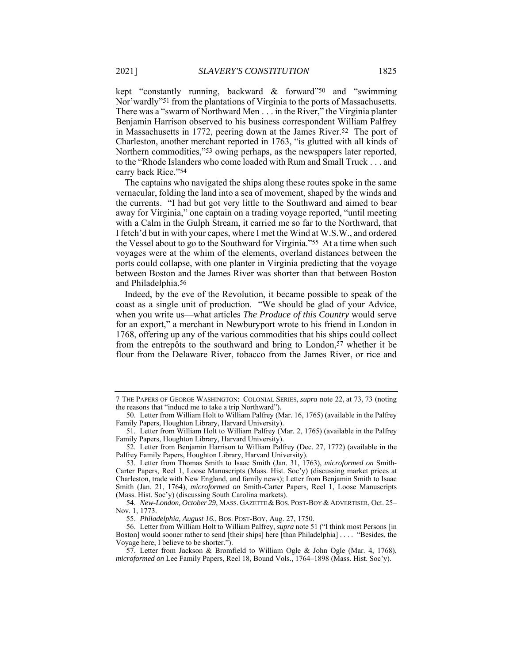kept "constantly running, backward & forward"50 and "swimming Nor'wardly"51 from the plantations of Virginia to the ports of Massachusetts. There was a "swarm of Northward Men . . . in the River," the Virginia planter Benjamin Harrison observed to his business correspondent William Palfrey in Massachusetts in 1772, peering down at the James River.52 The port of Charleston, another merchant reported in 1763, "is glutted with all kinds of Northern commodities,"53 owing perhaps, as the newspapers later reported, to the "Rhode Islanders who come loaded with Rum and Small Truck . . . and carry back Rice."54

The captains who navigated the ships along these routes spoke in the same vernacular, folding the land into a sea of movement, shaped by the winds and the currents. "I had but got very little to the Southward and aimed to bear away for Virginia," one captain on a trading voyage reported, "until meeting with a Calm in the Gulph Stream, it carried me so far to the Northward, that I fetch'd but in with your capes, where I met the Wind at W.S.W., and ordered the Vessel about to go to the Southward for Virginia."55 At a time when such voyages were at the whim of the elements, overland distances between the ports could collapse, with one planter in Virginia predicting that the voyage between Boston and the James River was shorter than that between Boston and Philadelphia.56

Indeed, by the eve of the Revolution, it became possible to speak of the coast as a single unit of production. "We should be glad of your Advice, when you write us—what articles *The Produce of this Country* would serve for an export," a merchant in Newburyport wrote to his friend in London in 1768, offering up any of the various commodities that his ships could collect from the entrepôts to the southward and bring to London,<sup>57</sup> whether it be flour from the Delaware River, tobacco from the James River, or rice and

<sup>7</sup> THE PAPERS OF GEORGE WASHINGTON: COLONIAL SERIES, *supra* note 22, at 73, 73 (noting the reasons that "inducd me to take a trip Northward").

 <sup>50.</sup> Letter from William Holt to William Palfrey (Mar. 16, 1765) (available in the Palfrey Family Papers, Houghton Library, Harvard University).

 <sup>51.</sup> Letter from William Holt to William Palfrey (Mar. 2, 1765) (available in the Palfrey Family Papers, Houghton Library, Harvard University).

 <sup>52.</sup> Letter from Benjamin Harrison to William Palfrey (Dec. 27, 1772) (available in the Palfrey Family Papers, Houghton Library, Harvard University).

 <sup>53.</sup> Letter from Thomas Smith to Isaac Smith (Jan. 31, 1763), *microformed on* Smith-Carter Papers, Reel 1, Loose Manuscripts (Mass. Hist. Soc'y) (discussing market prices at Charleston, trade with New England, and family news); Letter from Benjamin Smith to Isaac Smith (Jan. 21, 1764), *microformed on* Smith-Carter Papers, Reel 1, Loose Manuscripts (Mass. Hist. Soc'y) (discussing South Carolina markets).

<sup>54.</sup> *New-London, October 29*, MASS. GAZETTE & BOS. POST-BOY & ADVERTISER, Oct. 25-Nov. 1, 1773.

 <sup>55.</sup> *Philadelphia, August 16.*, BOS. POST-BOY, Aug. 27, 1750.

 <sup>56.</sup> Letter from William Holt to William Palfrey, *supra* note 51 ("I think most Persons [in Boston] would sooner rather to send [their ships] here [than Philadelphia] . . . . "Besides, the Voyage here, I believe to be shorter.").

 <sup>57.</sup> Letter from Jackson & Bromfield to William Ogle & John Ogle (Mar. 4, 1768), *microformed on* Lee Family Papers, Reel 18, Bound Vols., 1764–1898 (Mass. Hist. Soc'y).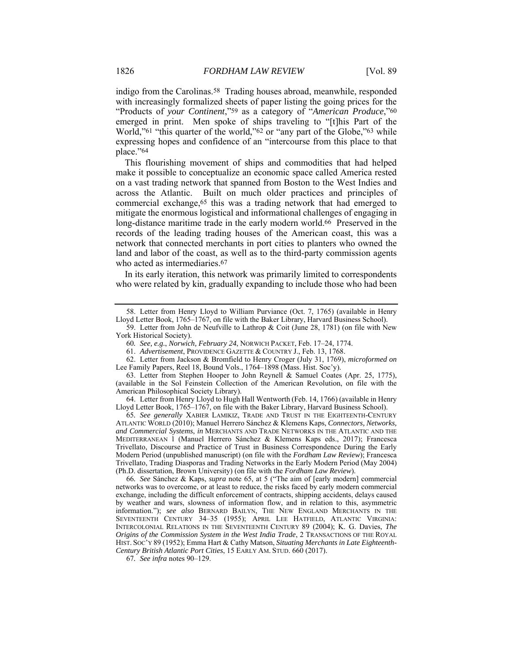indigo from the Carolinas.58 Trading houses abroad, meanwhile, responded with increasingly formalized sheets of paper listing the going prices for the "Products of *your Continent*,"59 as a category of "*American Produce*,"60 emerged in print. Men spoke of ships traveling to "[t]his Part of the World,"<sup>61</sup> "this quarter of the world,"<sup>62</sup> or "any part of the Globe,"<sup>63</sup> while expressing hopes and confidence of an "intercourse from this place to that place."64

This flourishing movement of ships and commodities that had helped make it possible to conceptualize an economic space called America rested on a vast trading network that spanned from Boston to the West Indies and across the Atlantic. Built on much older practices and principles of commercial exchange,65 this was a trading network that had emerged to mitigate the enormous logistical and informational challenges of engaging in long-distance maritime trade in the early modern world.66 Preserved in the records of the leading trading houses of the American coast, this was a network that connected merchants in port cities to planters who owned the land and labor of the coast, as well as to the third-party commission agents who acted as intermediaries.<sup>67</sup>

In its early iteration, this network was primarily limited to correspondents who were related by kin, gradually expanding to include those who had been

 64. Letter from Henry Lloyd to Hugh Hall Wentworth (Feb. 14, 1766) (available in Henry Lloyd Letter Book, 1765–1767, on file with the Baker Library, Harvard Business School).

65*. See generally* XABIER LAMIKIZ, TRADE AND TRUST IN THE EIGHTEENTH-CENTURY ATLANTIC WORLD (2010); Manuel Herrero Sánchez & Klemens Kaps, *Connectors, Networks, and Commercial Systems*, *in* MERCHANTS AND TRADE NETWORKS IN THE ATLANTIC AND THE MEDITERRANEAN 1 (Manuel Herrero Sánchez & Klemens Kaps eds., 2017); Francesca Trivellato, Discourse and Practice of Trust in Business Correspondence During the Early Modern Period (unpublished manuscript) (on file with the *Fordham Law Review*); Francesca Trivellato, Trading Diasporas and Trading Networks in the Early Modern Period (May 2004) (Ph.D. dissertation, Brown University) (on file with the *Fordham Law Review*).

66*. See* Sánchez & Kaps, *supra* note 65, at 5 ("The aim of [early modern] commercial networks was to overcome, or at least to reduce, the risks faced by early modern commercial exchange, including the difficult enforcement of contracts, shipping accidents, delays caused by weather and wars, slowness of information flow, and in relation to this, asymmetric information."); *see also* BERNARD BAILYN, THE NEW ENGLAND MERCHANTS IN THE SEVENTEENTH CENTURY 34–35 (1955); APRIL LEE HATFIELD, ATLANTIC VIRGINIA: INTERCOLONIAL RELATIONS IN THE SEVENTEENTH CENTURY 89 (2004); K. G. Davies, *The Origins of the Commission System in the West India Trade*, 2 TRANSACTIONS OF THE ROYAL HIST. SOC'Y 89 (1952); Emma Hart & Cathy Matson, *Situating Merchants in Late Eighteenth-Century British Atlantic Port Cities*, 15 EARLY AM. STUD. 660 (2017).

67*. See infra* notes 90–129.

 <sup>58.</sup> Letter from Henry Lloyd to William Purviance (Oct. 7, 1765) (available in Henry Lloyd Letter Book, 1765–1767, on file with the Baker Library, Harvard Business School).

 <sup>59.</sup> Letter from John de Neufville to Lathrop & Coit (June 28, 1781) (on file with New York Historical Society).

<sup>60</sup>*. See, e.g.*, *Norwich, February 24*, NORWICH PACKET, Feb. 17–24, 1774.

 <sup>61.</sup> *Advertisement*, PROVIDENCE GAZETTE & COUNTRY J., Feb. 13, 1768.

 <sup>62.</sup> Letter from Jackson & Bromfield to Henry Croger (July 31, 1769), *microformed on*  Lee Family Papers, Reel 18, Bound Vols., 1764–1898 (Mass. Hist. Soc'y).

 <sup>63.</sup> Letter from Stephen Hooper to John Reynell & Samuel Coates (Apr. 25, 1775), (available in the Sol Feinstein Collection of the American Revolution, on file with the American Philosophical Society Library).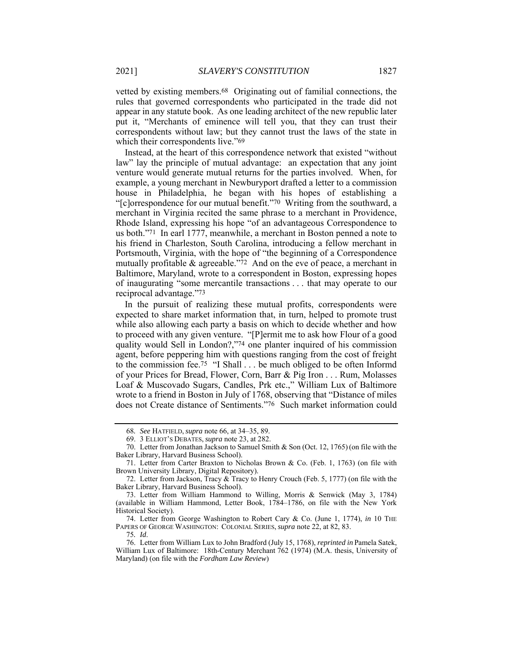vetted by existing members.68 Originating out of familial connections, the rules that governed correspondents who participated in the trade did not appear in any statute book. As one leading architect of the new republic later put it, "Merchants of eminence will tell you, that they can trust their correspondents without law; but they cannot trust the laws of the state in which their correspondents live."<sup>69</sup>

Instead, at the heart of this correspondence network that existed "without law" lay the principle of mutual advantage: an expectation that any joint venture would generate mutual returns for the parties involved. When, for example, a young merchant in Newburyport drafted a letter to a commission house in Philadelphia, he began with his hopes of establishing a "[c]orrespondence for our mutual benefit."70 Writing from the southward, a merchant in Virginia recited the same phrase to a merchant in Providence, Rhode Island, expressing his hope "of an advantageous Correspondence to us both."71 In earl 1777, meanwhile, a merchant in Boston penned a note to his friend in Charleston, South Carolina, introducing a fellow merchant in Portsmouth, Virginia, with the hope of "the beginning of a Correspondence mutually profitable & agreeable."72 And on the eve of peace, a merchant in Baltimore, Maryland, wrote to a correspondent in Boston, expressing hopes of inaugurating "some mercantile transactions . . . that may operate to our reciprocal advantage."73

In the pursuit of realizing these mutual profits, correspondents were expected to share market information that, in turn, helped to promote trust while also allowing each party a basis on which to decide whether and how to proceed with any given venture. "[P]ermit me to ask how Flour of a good quality would Sell in London?,"74 one planter inquired of his commission agent, before peppering him with questions ranging from the cost of freight to the commission fee.75 "I Shall . . . be much obliged to be often Informd of your Prices for Bread, Flower, Corn, Barr & Pig Iron . . . Rum, Molasses Loaf & Muscovado Sugars, Candles, Prk etc.," William Lux of Baltimore wrote to a friend in Boston in July of 1768, observing that "Distance of miles does not Create distance of Sentiments."76 Such market information could

 74. Letter from George Washington to Robert Cary & Co. (June 1, 1774), *in* 10 THE PAPERS OF GEORGE WASHINGTON: COLONIAL SERIES, *supra* note 22, at 82, 83.

 76. Letter from William Lux to John Bradford (July 15, 1768), *reprinted in* Pamela Satek, William Lux of Baltimore: 18th-Century Merchant 762 (1974) (M.A. thesis, University of Maryland) (on file with the *Fordham Law Review*)

<sup>68</sup>*. See* HATFIELD, *supra* note 66, at 34–35, 89.

 <sup>69. 3</sup> ELLIOT'S DEBATES, *supra* note 23, at 282.

 <sup>70.</sup> Letter from Jonathan Jackson to Samuel Smith & Son (Oct. 12, 1765) (on file with the Baker Library, Harvard Business School).

 <sup>71.</sup> Letter from Carter Braxton to Nicholas Brown & Co. (Feb. 1, 1763) (on file with Brown University Library, Digital Repository).

 <sup>72.</sup> Letter from Jackson, Tracy & Tracy to Henry Crouch (Feb. 5, 1777) (on file with the Baker Library, Harvard Business School).

 <sup>73.</sup> Letter from William Hammond to Willing, Morris & Senwick (May 3, 1784) (available in William Hammond, Letter Book, 1784–1786, on file with the New York Historical Society).

<sup>75</sup>*. Id*.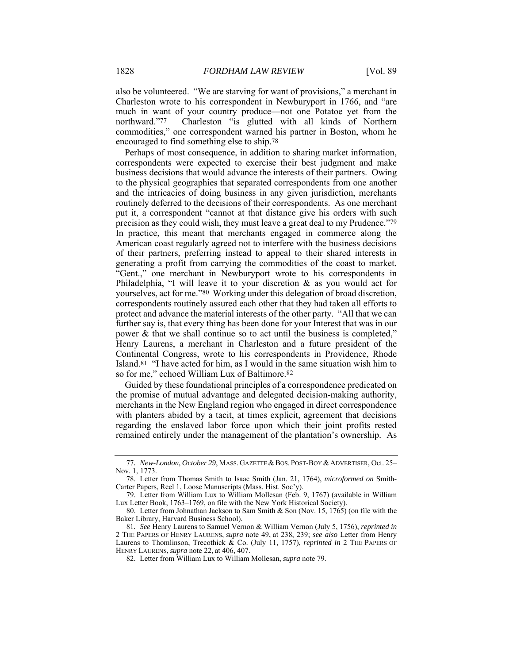also be volunteered. "We are starving for want of provisions," a merchant in Charleston wrote to his correspondent in Newburyport in 1766, and "are much in want of your country produce—not one Potatoe yet from the northward."77 Charleston "is glutted with all kinds of Northern commodities," one correspondent warned his partner in Boston, whom he encouraged to find something else to ship.78

Perhaps of most consequence, in addition to sharing market information, correspondents were expected to exercise their best judgment and make business decisions that would advance the interests of their partners. Owing to the physical geographies that separated correspondents from one another and the intricacies of doing business in any given jurisdiction, merchants routinely deferred to the decisions of their correspondents. As one merchant put it, a correspondent "cannot at that distance give his orders with such precision as they could wish, they must leave a great deal to my Prudence."79 In practice, this meant that merchants engaged in commerce along the American coast regularly agreed not to interfere with the business decisions of their partners, preferring instead to appeal to their shared interests in generating a profit from carrying the commodities of the coast to market. "Gent.," one merchant in Newburyport wrote to his correspondents in Philadelphia, "I will leave it to your discretion & as you would act for yourselves, act for me."80 Working under this delegation of broad discretion, correspondents routinely assured each other that they had taken all efforts to protect and advance the material interests of the other party. "All that we can further say is, that every thing has been done for your Interest that was in our power & that we shall continue so to act until the business is completed," Henry Laurens, a merchant in Charleston and a future president of the Continental Congress, wrote to his correspondents in Providence, Rhode Island.81 "I have acted for him, as I would in the same situation wish him to so for me," echoed William Lux of Baltimore.82

Guided by these foundational principles of a correspondence predicated on the promise of mutual advantage and delegated decision-making authority, merchants in the New England region who engaged in direct correspondence with planters abided by a tacit, at times explicit, agreement that decisions regarding the enslaved labor force upon which their joint profits rested remained entirely under the management of the plantation's ownership. As

<sup>77.</sup> New-London, October 29, MASS. GAZETTE & BOS. POST-BOY & ADVERTISER, Oct. 25-Nov. 1, 1773.

 <sup>78.</sup> Letter from Thomas Smith to Isaac Smith (Jan. 21, 1764), *microformed on* Smith-Carter Papers, Reel 1, Loose Manuscripts (Mass. Hist. Soc'y).

 <sup>79.</sup> Letter from William Lux to William Mollesan (Feb. 9, 1767) (available in William Lux Letter Book, 1763–1769, on file with the New York Historical Society).

 <sup>80.</sup> Letter from Johnathan Jackson to Sam Smith & Son (Nov. 15, 1765) (on file with the Baker Library, Harvard Business School).

<sup>81</sup>*. See* Henry Laurens to Samuel Vernon & William Vernon (July 5, 1756), *reprinted in* 2 THE PAPERS OF HENRY LAURENS, *supra* note 49, at 238, 239; *see also* Letter from Henry Laurens to Thomlinson, Trecothick & Co. (July 11, 1757), *reprinted in* 2 THE PAPERS OF HENRY LAURENS, *supra* note 22, at 406, 407.

 <sup>82.</sup> Letter from William Lux to William Mollesan, *supra* note 79.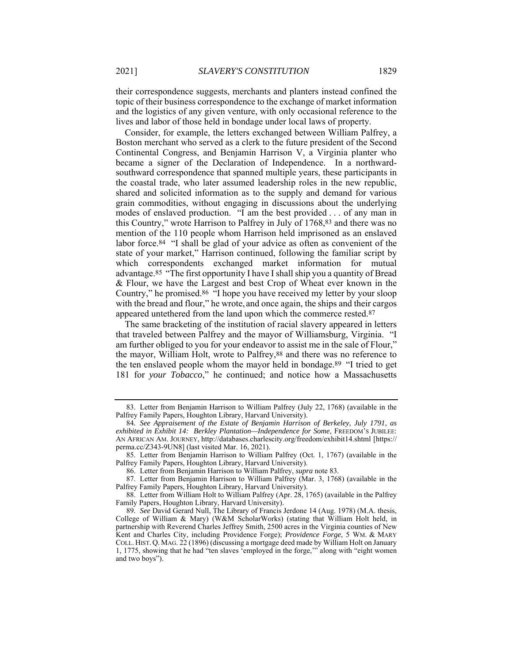their correspondence suggests, merchants and planters instead confined the topic of their business correspondence to the exchange of market information and the logistics of any given venture, with only occasional reference to the lives and labor of those held in bondage under local laws of property.

Consider, for example, the letters exchanged between William Palfrey, a Boston merchant who served as a clerk to the future president of the Second Continental Congress, and Benjamin Harrison V, a Virginia planter who became a signer of the Declaration of Independence. In a northwardsouthward correspondence that spanned multiple years, these participants in the coastal trade, who later assumed leadership roles in the new republic, shared and solicited information as to the supply and demand for various grain commodities, without engaging in discussions about the underlying modes of enslaved production. "I am the best provided . . . of any man in this Country," wrote Harrison to Palfrey in July of 1768,83 and there was no mention of the 110 people whom Harrison held imprisoned as an enslaved labor force.84 "I shall be glad of your advice as often as convenient of the state of your market," Harrison continued, following the familiar script by which correspondents exchanged market information for mutual advantage.85 "The first opportunity I have I shall ship you a quantity of Bread & Flour, we have the Largest and best Crop of Wheat ever known in the Country," he promised.86 "I hope you have received my letter by your sloop with the bread and flour," he wrote, and once again, the ships and their cargos appeared untethered from the land upon which the commerce rested.87

The same bracketing of the institution of racial slavery appeared in letters that traveled between Palfrey and the mayor of Williamsburg, Virginia. "I am further obliged to you for your endeavor to assist me in the sale of Flour," the mayor, William Holt, wrote to Palfrey,88 and there was no reference to the ten enslaved people whom the mayor held in bondage.89 "I tried to get 181 for *your Tobacco*," he continued; and notice how a Massachusetts

 <sup>83.</sup> Letter from Benjamin Harrison to William Palfrey (July 22, 1768) (available in the Palfrey Family Papers, Houghton Library, Harvard University).

<sup>84</sup>*. See Appraisement of the Estate of Benjamin Harrison of Berkeley, July 1791*, *as exhibited in Exhibit 14: Berkley Plantation—Independence for Some*, FREEDOM'S JUBILEE: AN AFRICAN AM. JOURNEY, http://databases.charlescity.org/freedom/exhibit14.shtml [https:// perma.cc/Z343-9UN8] (last visited Mar. 16, 2021).

 <sup>85.</sup> Letter from Benjamin Harrison to William Palfrey (Oct. 1, 1767) (available in the Palfrey Family Papers, Houghton Library, Harvard University).

 <sup>86.</sup> Letter from Benjamin Harrison to William Palfrey, *supra* note 83.

 <sup>87.</sup> Letter from Benjamin Harrison to William Palfrey (Mar. 3, 1768) (available in the Palfrey Family Papers, Houghton Library, Harvard University).

 <sup>88.</sup> Letter from William Holt to William Palfrey (Apr. 28, 1765) (available in the Palfrey Family Papers, Houghton Library, Harvard University).

<sup>89</sup>*. See* David Gerard Null, The Library of Francis Jerdone 14 (Aug. 1978) (M.A. thesis, College of William & Mary) (W&M ScholarWorks) (stating that William Holt held, in partnership with Reverend Charles Jeffrey Smith, 2500 acres in the Virginia counties of New Kent and Charles City, including Providence Forge); *Providence Forge*, 5 WM. & MARY COLL. HIST. Q. MAG. 22 (1896) (discussing a mortgage deed made by William Holt on January 1, 1775, showing that he had "ten slaves 'employed in the forge,'" along with "eight women and two boys").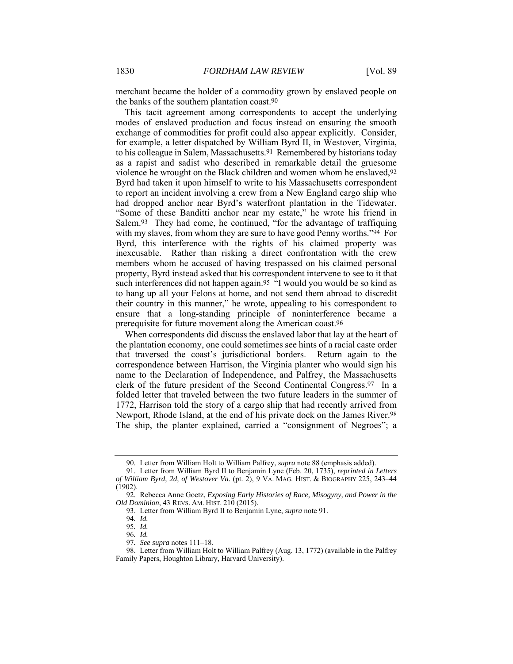merchant became the holder of a commodity grown by enslaved people on the banks of the southern plantation coast.90

This tacit agreement among correspondents to accept the underlying modes of enslaved production and focus instead on ensuring the smooth exchange of commodities for profit could also appear explicitly. Consider, for example, a letter dispatched by William Byrd II, in Westover, Virginia, to his colleague in Salem, Massachusetts.91 Remembered by historians today as a rapist and sadist who described in remarkable detail the gruesome violence he wrought on the Black children and women whom he enslaved,92 Byrd had taken it upon himself to write to his Massachusetts correspondent to report an incident involving a crew from a New England cargo ship who had dropped anchor near Byrd's waterfront plantation in the Tidewater. "Some of these Banditti anchor near my estate," he wrote his friend in Salem.93 They had come, he continued, "for the advantage of traffiquing with my slaves, from whom they are sure to have good Penny worths."<sup>94</sup> For Byrd, this interference with the rights of his claimed property was inexcusable. Rather than risking a direct confrontation with the crew members whom he accused of having trespassed on his claimed personal property, Byrd instead asked that his correspondent intervene to see to it that such interferences did not happen again.<sup>95</sup> "I would you would be so kind as to hang up all your Felons at home, and not send them abroad to discredit their country in this manner," he wrote, appealing to his correspondent to ensure that a long-standing principle of noninterference became a prerequisite for future movement along the American coast.96

When correspondents did discuss the enslaved labor that lay at the heart of the plantation economy, one could sometimes see hints of a racial caste order that traversed the coast's jurisdictional borders. Return again to the correspondence between Harrison, the Virginia planter who would sign his name to the Declaration of Independence, and Palfrey, the Massachusetts clerk of the future president of the Second Continental Congress.97 In a folded letter that traveled between the two future leaders in the summer of 1772, Harrison told the story of a cargo ship that had recently arrived from Newport, Rhode Island, at the end of his private dock on the James River.98 The ship, the planter explained, carried a "consignment of Negroes"; a

 <sup>90.</sup> Letter from William Holt to William Palfrey, *supra* note 88 (emphasis added).

 <sup>91.</sup> Letter from William Byrd II to Benjamin Lyne (Feb. 20, 1735), *reprinted in Letters of William Byrd, 2d, of Westover Va.* (pt. 2), 9 VA. MAG. HIST. & BIOGRAPHY 225, 243–44 (1902).

 <sup>92.</sup> Rebecca Anne Goetz, *Exposing Early Histories of Race, Misogyny, and Power in the Old Dominion*, 43 REVS. AM. HIST. 210 (2015).

 <sup>93.</sup> Letter from William Byrd II to Benjamin Lyne, *supra* note 91.

<sup>94</sup>*. Id.*

<sup>95</sup>*. Id.* 96*. Id.*

<sup>97</sup>*. See supra* notes 111–18.

 <sup>98.</sup> Letter from William Holt to William Palfrey (Aug. 13, 1772) (available in the Palfrey Family Papers, Houghton Library, Harvard University).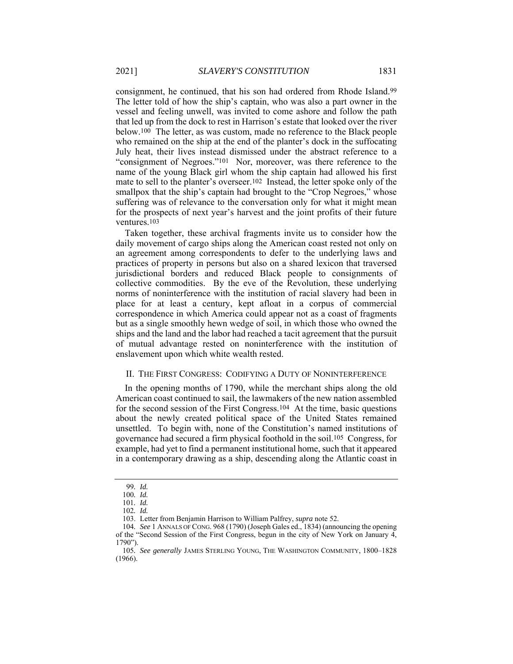consignment, he continued, that his son had ordered from Rhode Island.99 The letter told of how the ship's captain, who was also a part owner in the vessel and feeling unwell, was invited to come ashore and follow the path that led up from the dock to rest in Harrison's estate that looked over the river below.100 The letter, as was custom, made no reference to the Black people who remained on the ship at the end of the planter's dock in the suffocating July heat, their lives instead dismissed under the abstract reference to a "consignment of Negroes."101 Nor, moreover, was there reference to the name of the young Black girl whom the ship captain had allowed his first mate to sell to the planter's overseer.102 Instead, the letter spoke only of the smallpox that the ship's captain had brought to the "Crop Negroes," whose suffering was of relevance to the conversation only for what it might mean for the prospects of next year's harvest and the joint profits of their future ventures.103

Taken together, these archival fragments invite us to consider how the daily movement of cargo ships along the American coast rested not only on an agreement among correspondents to defer to the underlying laws and practices of property in persons but also on a shared lexicon that traversed jurisdictional borders and reduced Black people to consignments of collective commodities. By the eve of the Revolution, these underlying norms of noninterference with the institution of racial slavery had been in place for at least a century, kept afloat in a corpus of commercial correspondence in which America could appear not as a coast of fragments but as a single smoothly hewn wedge of soil, in which those who owned the ships and the land and the labor had reached a tacit agreement that the pursuit of mutual advantage rested on noninterference with the institution of enslavement upon which white wealth rested.

#### II. THE FIRST CONGRESS: CODIFYING A DUTY OF NONINTERFERENCE

In the opening months of 1790, while the merchant ships along the old American coast continued to sail, the lawmakers of the new nation assembled for the second session of the First Congress.104 At the time, basic questions about the newly created political space of the United States remained unsettled. To begin with, none of the Constitution's named institutions of governance had secured a firm physical foothold in the soil.105 Congress, for example, had yet to find a permanent institutional home, such that it appeared in a contemporary drawing as a ship, descending along the Atlantic coast in

<sup>99</sup>*. Id.*

<sup>100</sup>*. Id.*

<sup>101</sup>*. Id.*

<sup>102</sup>*. Id.*

 <sup>103.</sup> Letter from Benjamin Harrison to William Palfrey, *supra* note 52.

<sup>104</sup>*. See* 1 ANNALS OF CONG. 968 (1790) (Joseph Gales ed., 1834) (announcing the opening of the "Second Session of the First Congress, begun in the city of New York on January 4, 1790").

<sup>105</sup>*. See generally* JAMES STERLING YOUNG, THE WASHINGTON COMMUNITY, 1800–1828 (1966).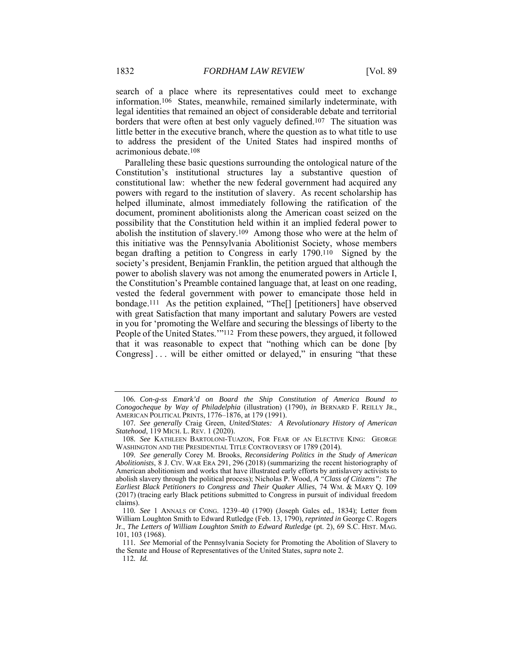search of a place where its representatives could meet to exchange information.106 States, meanwhile, remained similarly indeterminate, with legal identities that remained an object of considerable debate and territorial borders that were often at best only vaguely defined.107 The situation was little better in the executive branch, where the question as to what title to use to address the president of the United States had inspired months of acrimonious debate.108

Paralleling these basic questions surrounding the ontological nature of the Constitution's institutional structures lay a substantive question of constitutional law: whether the new federal government had acquired any powers with regard to the institution of slavery. As recent scholarship has helped illuminate, almost immediately following the ratification of the document, prominent abolitionists along the American coast seized on the possibility that the Constitution held within it an implied federal power to abolish the institution of slavery.109 Among those who were at the helm of this initiative was the Pennsylvania Abolitionist Society, whose members began drafting a petition to Congress in early 1790.110 Signed by the society's president, Benjamin Franklin, the petition argued that although the power to abolish slavery was not among the enumerated powers in Article I, the Constitution's Preamble contained language that, at least on one reading, vested the federal government with power to emancipate those held in bondage.111 As the petition explained, "The[] [petitioners] have observed with great Satisfaction that many important and salutary Powers are vested in you for 'promoting the Welfare and securing the blessings of liberty to the People of the United States.'"112 From these powers, they argued, it followed that it was reasonable to expect that "nothing which can be done [by Congress]... will be either omitted or delayed," in ensuring "that these

<sup>106</sup>*. Con-g-ss Emark'd on Board the Ship Constitution of America Bound to Conogocheque by Way of Philadelphia* (illustration) (1790), *in* BERNARD F. REILLY JR., AMERICAN POLITICAL PRINTS, 1776–1876, at 179 (1991).

<sup>107</sup>*. See generally* Craig Green, *United/States: A Revolutionary History of American Statehood*, 119 MICH. L. REV. 1 (2020).

<sup>108</sup>*. See* KATHLEEN BARTOLONI-TUAZON, FOR FEAR OF AN ELECTIVE KING: GEORGE WASHINGTON AND THE PRESIDENTIAL TITLE CONTROVERSY OF 1789 (2014).

<sup>109</sup>*. See generally* Corey M. Brooks, *Reconsidering Politics in the Study of American Abolitionists*, 8 J. CIV. WAR ERA 291, 296 (2018) (summarizing the recent historiography of American abolitionism and works that have illustrated early efforts by antislavery activists to abolish slavery through the political process); Nicholas P. Wood, *A "Class of Citizens": The Earliest Black Petitioners to Congress and Their Quaker Allies*, 74 WM. & MARY Q. 109 (2017) (tracing early Black petitions submitted to Congress in pursuit of individual freedom claims).

<sup>110</sup>*. See* 1 ANNALS OF CONG. 1239–40 (1790) (Joseph Gales ed., 1834); Letter from William Loughton Smith to Edward Rutledge (Feb. 13, 1790), *reprinted in* George C. Rogers Jr., *The Letters of William Loughton Smith to Edward Rutledge* (pt. 2), 69 S.C. HIST. MAG. 101, 103 (1968).

<sup>111</sup>*. See* Memorial of the Pennsylvania Society for Promoting the Abolition of Slavery to the Senate and House of Representatives of the United States, *supra* note 2.

<sup>112</sup>*. Id.*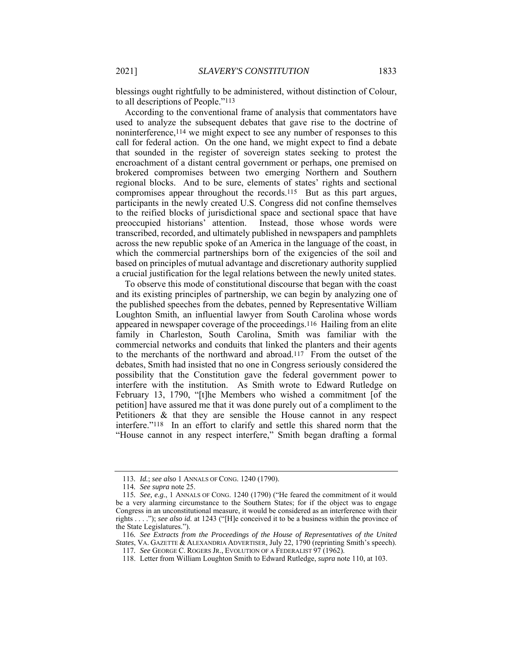blessings ought rightfully to be administered, without distinction of Colour, to all descriptions of People."113

According to the conventional frame of analysis that commentators have used to analyze the subsequent debates that gave rise to the doctrine of noninterference,114 we might expect to see any number of responses to this call for federal action. On the one hand, we might expect to find a debate that sounded in the register of sovereign states seeking to protest the encroachment of a distant central government or perhaps, one premised on brokered compromises between two emerging Northern and Southern regional blocks. And to be sure, elements of states' rights and sectional compromises appear throughout the records.115 But as this part argues, participants in the newly created U.S. Congress did not confine themselves to the reified blocks of jurisdictional space and sectional space that have preoccupied historians' attention. Instead, those whose words were transcribed, recorded, and ultimately published in newspapers and pamphlets across the new republic spoke of an America in the language of the coast, in which the commercial partnerships born of the exigencies of the soil and based on principles of mutual advantage and discretionary authority supplied a crucial justification for the legal relations between the newly united states.

To observe this mode of constitutional discourse that began with the coast and its existing principles of partnership, we can begin by analyzing one of the published speeches from the debates, penned by Representative William Loughton Smith, an influential lawyer from South Carolina whose words appeared in newspaper coverage of the proceedings.116 Hailing from an elite family in Charleston, South Carolina, Smith was familiar with the commercial networks and conduits that linked the planters and their agents to the merchants of the northward and abroad.117 From the outset of the debates, Smith had insisted that no one in Congress seriously considered the possibility that the Constitution gave the federal government power to interfere with the institution. As Smith wrote to Edward Rutledge on February 13, 1790, "[t]he Members who wished a commitment [of the petition] have assured me that it was done purely out of a compliment to the Petitioners & that they are sensible the House cannot in any respect interfere."118 In an effort to clarify and settle this shared norm that the "House cannot in any respect interfere," Smith began drafting a formal

<sup>113</sup>*. Id.*; *see also* 1 ANNALS OF CONG. 1240 (1790).

<sup>114</sup>*. See supra* note 25.

<sup>115</sup>*. See, e.g.*, 1 ANNALS OF CONG. 1240 (1790) ("He feared the commitment of it would be a very alarming circumstance to the Southern States; for if the object was to engage Congress in an unconstitutional measure, it would be considered as an interference with their rights . . . ."); *see also id.* at 1243 ("[H]e conceived it to be a business within the province of the State Legislatures.").

<sup>116</sup>*. See Extracts from the Proceedings of the House of Representatives of the United States*, VA. GAZETTE & ALEXANDRIA ADVERTISER, July 22, 1790 (reprinting Smith's speech). 117*. See* GEORGE C. ROGERS JR., EVOLUTION OF A FEDERALIST 97 (1962).

 <sup>118.</sup> Letter from William Loughton Smith to Edward Rutledge, *supra* note 110, at 103.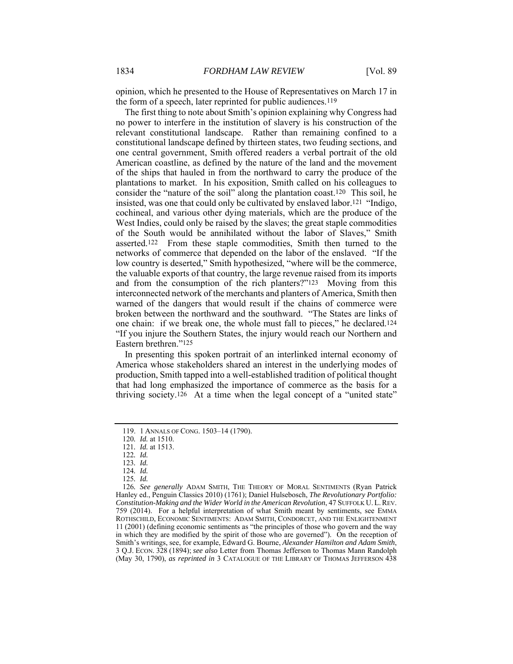opinion, which he presented to the House of Representatives on March 17 in the form of a speech, later reprinted for public audiences.119

The first thing to note about Smith's opinion explaining why Congress had no power to interfere in the institution of slavery is his construction of the relevant constitutional landscape. Rather than remaining confined to a constitutional landscape defined by thirteen states, two feuding sections, and one central government, Smith offered readers a verbal portrait of the old American coastline, as defined by the nature of the land and the movement of the ships that hauled in from the northward to carry the produce of the plantations to market. In his exposition, Smith called on his colleagues to consider the "nature of the soil" along the plantation coast.120 This soil, he insisted, was one that could only be cultivated by enslaved labor.121 "Indigo, cochineal, and various other dying materials, which are the produce of the West Indies, could only be raised by the slaves; the great staple commodities of the South would be annihilated without the labor of Slaves," Smith asserted.122 From these staple commodities, Smith then turned to the networks of commerce that depended on the labor of the enslaved. "If the low country is deserted," Smith hypothesized, "where will be the commerce, the valuable exports of that country, the large revenue raised from its imports and from the consumption of the rich planters?"123 Moving from this interconnected network of the merchants and planters of America, Smith then warned of the dangers that would result if the chains of commerce were broken between the northward and the southward. "The States are links of one chain: if we break one, the whole must fall to pieces," he declared.124 "If you injure the Southern States, the injury would reach our Northern and Eastern brethren."125

In presenting this spoken portrait of an interlinked internal economy of America whose stakeholders shared an interest in the underlying modes of production, Smith tapped into a well-established tradition of political thought that had long emphasized the importance of commerce as the basis for a thriving society.<sup>126</sup> At a time when the legal concept of a "united state"

125*. Id.* 

 <sup>119. 1</sup> ANNALS OF CONG. 1503–14 (1790).

<sup>120</sup>*. Id.* at 1510.

<sup>121</sup>*. Id.* at 1513.

<sup>122</sup>*. Id.* 

<sup>123</sup>*. Id.* 

<sup>124</sup>*. Id.* 

<sup>126</sup>*. See generally* ADAM SMITH, THE THEORY OF MORAL SENTIMENTS (Ryan Patrick Hanley ed., Penguin Classics 2010) (1761); Daniel Hulsebosch, *The Revolutionary Portfolio: Constitution-Making and the Wider World in the American Revolution*, 47 SUFFOLK U. L.REV. 759 (2014). For a helpful interpretation of what Smith meant by sentiments, see EMMA ROTHSCHILD, ECONOMIC SENTIMENTS: ADAM SMITH, CONDORCET, AND THE ENLIGHTENMENT 11 (2001) (defining economic sentiments as "the principles of those who govern and the way in which they are modified by the spirit of those who are governed"). On the reception of Smith's writings, see, for example, Edward G. Bourne, *Alexander Hamilton and Adam Smith*, 3 Q.J. ECON. 328 (1894); *see also* Letter from Thomas Jefferson to Thomas Mann Randolph (May 30, 1790), *as reprinted in* 3 CATALOGUE OF THE LIBRARY OF THOMAS JEFFERSON 438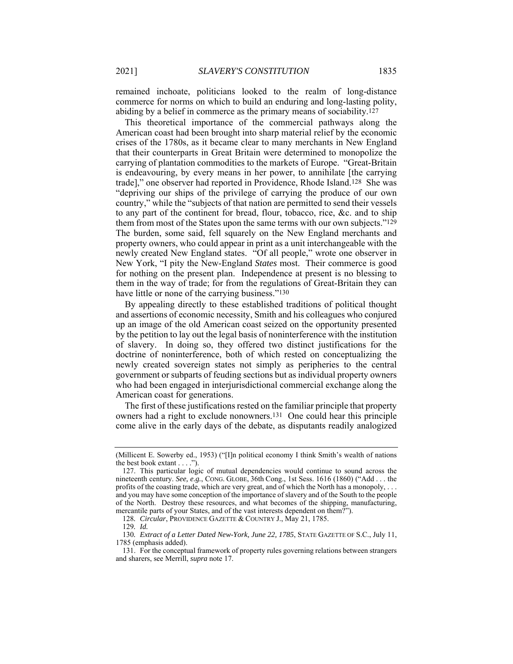remained inchoate, politicians looked to the realm of long-distance commerce for norms on which to build an enduring and long-lasting polity, abiding by a belief in commerce as the primary means of sociability.127

This theoretical importance of the commercial pathways along the American coast had been brought into sharp material relief by the economic crises of the 1780s, as it became clear to many merchants in New England that their counterparts in Great Britain were determined to monopolize the carrying of plantation commodities to the markets of Europe. "Great-Britain is endeavouring, by every means in her power, to annihilate [the carrying trade]," one observer had reported in Providence, Rhode Island.128 She was "depriving our ships of the privilege of carrying the produce of our own country," while the "subjects of that nation are permitted to send their vessels to any part of the continent for bread, flour, tobacco, rice, &c. and to ship them from most of the States upon the same terms with our own subjects."129 The burden, some said, fell squarely on the New England merchants and property owners, who could appear in print as a unit interchangeable with the newly created New England states. "Of all people," wrote one observer in New York, "I pity the New-England *States* most. Their commerce is good for nothing on the present plan. Independence at present is no blessing to them in the way of trade; for from the regulations of Great-Britain they can have little or none of the carrying business."<sup>130</sup>

By appealing directly to these established traditions of political thought and assertions of economic necessity, Smith and his colleagues who conjured up an image of the old American coast seized on the opportunity presented by the petition to lay out the legal basis of noninterference with the institution of slavery. In doing so, they offered two distinct justifications for the doctrine of noninterference, both of which rested on conceptualizing the newly created sovereign states not simply as peripheries to the central government or subparts of feuding sections but as individual property owners who had been engaged in interjurisdictional commercial exchange along the American coast for generations.

The first of these justifications rested on the familiar principle that property owners had a right to exclude nonowners.131 One could hear this principle come alive in the early days of the debate, as disputants readily analogized

<sup>(</sup>Millicent E. Sowerby ed., 1953) ("[I]n political economy I think Smith's wealth of nations the best book extant . . . .").

 <sup>127.</sup> This particular logic of mutual dependencies would continue to sound across the nineteenth century. *See, e.g.*, CONG. GLOBE, 36th Cong., 1st Sess. 1616 (1860) ("Add . . . the profits of the coasting trade, which are very great, and of which the North has a monopoly, . . . and you may have some conception of the importance of slavery and of the South to the people of the North. Destroy these resources, and what becomes of the shipping, manufacturing, mercantile parts of your States, and of the vast interests dependent on them?").

<sup>128</sup>*. Circular*, PROVIDENCE GAZETTE & COUNTRY J., May 21, 1785.

<sup>129</sup>*. Id.*

<sup>130</sup>*. Extract of a Letter Dated New-York, June 22, 1785*, STATE GAZETTE OF S.C., July 11, 1785 (emphasis added).

 <sup>131.</sup> For the conceptual framework of property rules governing relations between strangers and sharers, see Merrill, *supra* note 17.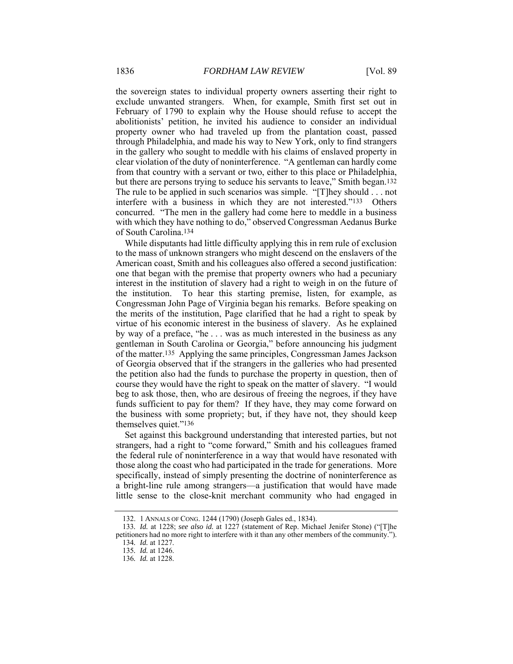the sovereign states to individual property owners asserting their right to exclude unwanted strangers. When, for example, Smith first set out in February of 1790 to explain why the House should refuse to accept the abolitionists' petition, he invited his audience to consider an individual property owner who had traveled up from the plantation coast, passed through Philadelphia, and made his way to New York, only to find strangers in the gallery who sought to meddle with his claims of enslaved property in clear violation of the duty of noninterference. "A gentleman can hardly come from that country with a servant or two, either to this place or Philadelphia, but there are persons trying to seduce his servants to leave," Smith began.132 The rule to be applied in such scenarios was simple. "[T]hey should . . . not interfere with a business in which they are not interested."133 Others concurred. "The men in the gallery had come here to meddle in a business with which they have nothing to do," observed Congressman Aedanus Burke of South Carolina.134

While disputants had little difficulty applying this in rem rule of exclusion to the mass of unknown strangers who might descend on the enslavers of the American coast, Smith and his colleagues also offered a second justification: one that began with the premise that property owners who had a pecuniary interest in the institution of slavery had a right to weigh in on the future of the institution. To hear this starting premise, listen, for example, as Congressman John Page of Virginia began his remarks. Before speaking on the merits of the institution, Page clarified that he had a right to speak by virtue of his economic interest in the business of slavery. As he explained by way of a preface, "he . . . was as much interested in the business as any gentleman in South Carolina or Georgia," before announcing his judgment of the matter.135 Applying the same principles, Congressman James Jackson of Georgia observed that if the strangers in the galleries who had presented the petition also had the funds to purchase the property in question, then of course they would have the right to speak on the matter of slavery. "I would beg to ask those, then, who are desirous of freeing the negroes, if they have funds sufficient to pay for them? If they have, they may come forward on the business with some propriety; but, if they have not, they should keep themselves quiet."136

Set against this background understanding that interested parties, but not strangers, had a right to "come forward," Smith and his colleagues framed the federal rule of noninterference in a way that would have resonated with those along the coast who had participated in the trade for generations. More specifically, instead of simply presenting the doctrine of noninterference as a bright-line rule among strangers—a justification that would have made little sense to the close-knit merchant community who had engaged in

 <sup>132. 1</sup> ANNALS OF CONG. 1244 (1790) (Joseph Gales ed., 1834).

<sup>133</sup>*. Id.* at 1228; *see also id.* at 1227 (statement of Rep. Michael Jenifer Stone) ("[T]he petitioners had no more right to interfere with it than any other members of the community.").

<sup>134</sup>*. Id.* at 1227.

<sup>135</sup>*. Id.* at 1246.

<sup>136</sup>*. Id.* at 1228.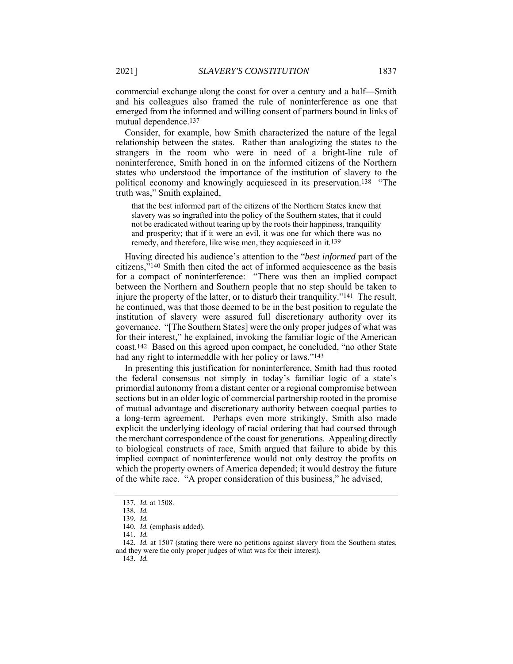commercial exchange along the coast for over a century and a half—Smith and his colleagues also framed the rule of noninterference as one that emerged from the informed and willing consent of partners bound in links of mutual dependence.137

Consider, for example, how Smith characterized the nature of the legal relationship between the states. Rather than analogizing the states to the strangers in the room who were in need of a bright-line rule of noninterference, Smith honed in on the informed citizens of the Northern states who understood the importance of the institution of slavery to the political economy and knowingly acquiesced in its preservation.138 "The truth was," Smith explained,

that the best informed part of the citizens of the Northern States knew that slavery was so ingrafted into the policy of the Southern states, that it could not be eradicated without tearing up by the roots their happiness, tranquility and prosperity; that if it were an evil, it was one for which there was no remedy, and therefore, like wise men, they acquiesced in it.139

Having directed his audience's attention to the "*best informed* part of the citizens,"140 Smith then cited the act of informed acquiescence as the basis for a compact of noninterference: "There was then an implied compact between the Northern and Southern people that no step should be taken to injure the property of the latter, or to disturb their tranquility."141 The result, he continued, was that those deemed to be in the best position to regulate the institution of slavery were assured full discretionary authority over its governance. "[The Southern States] were the only proper judges of what was for their interest," he explained, invoking the familiar logic of the American coast.142 Based on this agreed upon compact, he concluded, "no other State had any right to intermeddle with her policy or laws."143

In presenting this justification for noninterference, Smith had thus rooted the federal consensus not simply in today's familiar logic of a state's primordial autonomy from a distant center or a regional compromise between sections but in an older logic of commercial partnership rooted in the promise of mutual advantage and discretionary authority between coequal parties to a long-term agreement. Perhaps even more strikingly, Smith also made explicit the underlying ideology of racial ordering that had coursed through the merchant correspondence of the coast for generations. Appealing directly to biological constructs of race, Smith argued that failure to abide by this implied compact of noninterference would not only destroy the profits on which the property owners of America depended; it would destroy the future of the white race. "A proper consideration of this business," he advised,

<sup>137</sup>*. Id.* at 1508.

<sup>138</sup>*. Id.*

<sup>139</sup>*. Id.*

<sup>140</sup>*. Id.* (emphasis added).

<sup>141</sup>*. Id.*

<sup>142</sup>*. Id.* at 1507 (stating there were no petitions against slavery from the Southern states, and they were the only proper judges of what was for their interest).

<sup>143</sup>*. Id.*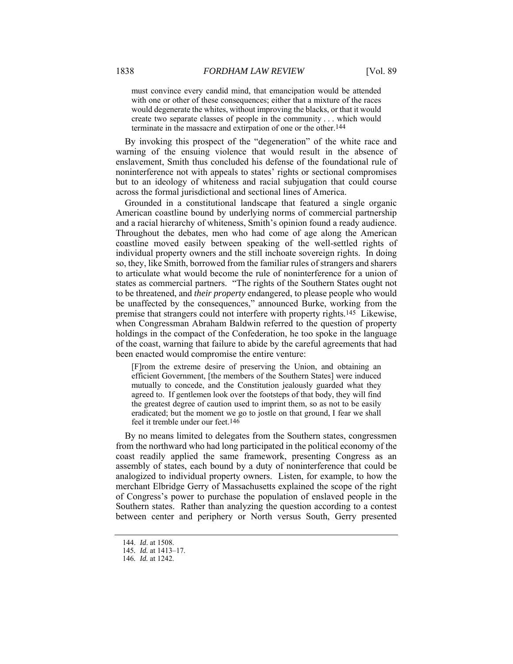must convince every candid mind, that emancipation would be attended with one or other of these consequences; either that a mixture of the races would degenerate the whites, without improving the blacks, or that it would create two separate classes of people in the community . . . which would terminate in the massacre and extirpation of one or the other.144

By invoking this prospect of the "degeneration" of the white race and warning of the ensuing violence that would result in the absence of enslavement, Smith thus concluded his defense of the foundational rule of noninterference not with appeals to states' rights or sectional compromises but to an ideology of whiteness and racial subjugation that could course across the formal jurisdictional and sectional lines of America.

Grounded in a constitutional landscape that featured a single organic American coastline bound by underlying norms of commercial partnership and a racial hierarchy of whiteness, Smith's opinion found a ready audience. Throughout the debates, men who had come of age along the American coastline moved easily between speaking of the well-settled rights of individual property owners and the still inchoate sovereign rights. In doing so, they, like Smith, borrowed from the familiar rules of strangers and sharers to articulate what would become the rule of noninterference for a union of states as commercial partners. "The rights of the Southern States ought not to be threatened, and *their property* endangered, to please people who would be unaffected by the consequences," announced Burke, working from the premise that strangers could not interfere with property rights.145 Likewise, when Congressman Abraham Baldwin referred to the question of property holdings in the compact of the Confederation, he too spoke in the language of the coast, warning that failure to abide by the careful agreements that had been enacted would compromise the entire venture:

[F]rom the extreme desire of preserving the Union, and obtaining an efficient Government, [the members of the Southern States] were induced mutually to concede, and the Constitution jealously guarded what they agreed to. If gentlemen look over the footsteps of that body, they will find the greatest degree of caution used to imprint them, so as not to be easily eradicated; but the moment we go to jostle on that ground, I fear we shall feel it tremble under our feet.146

By no means limited to delegates from the Southern states, congressmen from the northward who had long participated in the political economy of the coast readily applied the same framework, presenting Congress as an assembly of states, each bound by a duty of noninterference that could be analogized to individual property owners. Listen, for example, to how the merchant Elbridge Gerry of Massachusetts explained the scope of the right of Congress's power to purchase the population of enslaved people in the Southern states. Rather than analyzing the question according to a contest between center and periphery or North versus South, Gerry presented

 <sup>144.</sup> *Id*. at 1508.

<sup>145</sup>*. Id.* at 1413–17.

<sup>146</sup>*. Id.* at 1242.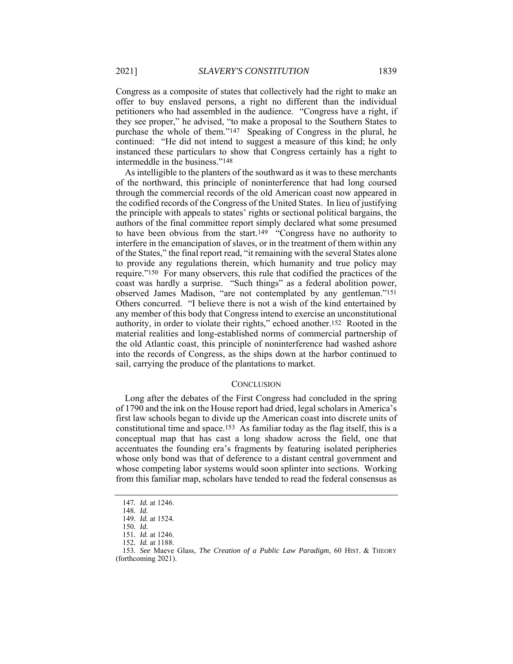Congress as a composite of states that collectively had the right to make an offer to buy enslaved persons, a right no different than the individual petitioners who had assembled in the audience. "Congress have a right, if they see proper," he advised, "to make a proposal to the Southern States to purchase the whole of them."147 Speaking of Congress in the plural, he continued: "He did not intend to suggest a measure of this kind; he only instanced these particulars to show that Congress certainly has a right to intermeddle in the business."148

As intelligible to the planters of the southward as it was to these merchants of the northward, this principle of noninterference that had long coursed through the commercial records of the old American coast now appeared in the codified records of the Congress of the United States. In lieu of justifying the principle with appeals to states' rights or sectional political bargains, the authors of the final committee report simply declared what some presumed to have been obvious from the start.149 "Congress have no authority to interfere in the emancipation of slaves, or in the treatment of them within any of the States," the final report read, "it remaining with the several States alone to provide any regulations therein, which humanity and true policy may require."150 For many observers, this rule that codified the practices of the coast was hardly a surprise. "Such things" as a federal abolition power, observed James Madison, "are not contemplated by any gentleman."151 Others concurred. "I believe there is not a wish of the kind entertained by any member of this body that Congress intend to exercise an unconstitutional authority, in order to violate their rights," echoed another.152 Rooted in the material realities and long-established norms of commercial partnership of the old Atlantic coast, this principle of noninterference had washed ashore into the records of Congress, as the ships down at the harbor continued to sail, carrying the produce of the plantations to market.

#### **CONCLUSION**

Long after the debates of the First Congress had concluded in the spring of 1790 and the ink on the House report had dried, legal scholars in America's first law schools began to divide up the American coast into discrete units of constitutional time and space.153 As familiar today as the flag itself, this is a conceptual map that has cast a long shadow across the field, one that accentuates the founding era's fragments by featuring isolated peripheries whose only bond was that of deference to a distant central government and whose competing labor systems would soon splinter into sections. Working from this familiar map, scholars have tended to read the federal consensus as

<sup>147</sup>*. Id.* at 1246.

<sup>148</sup>*. Id.* 149*. Id.* at 1524.

<sup>150</sup>*. Id.*

<sup>151</sup>*. Id.* at 1246.

<sup>152</sup>*. Id.* at 1188.

<sup>153</sup>*. See* Maeve Glass, *The Creation of a Public Law Paradigm*, 60 HIST. & THEORY

<sup>(</sup>forthcoming 2021).